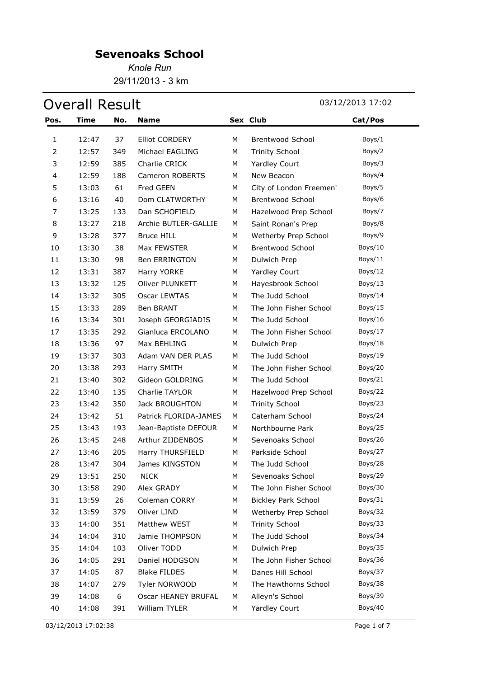*Knole Run* 29/11/2013 - 3 km

# Overall Result 03/12/2013 17:02

| Pos.           | Time  | No. | <b>Name</b>           |   | Sex Club                   | Cat/Pos |
|----------------|-------|-----|-----------------------|---|----------------------------|---------|
| 1              | 12:47 | 37  | Elliot CORDERY        | М | <b>Brentwood School</b>    | Boys/1  |
| $\overline{2}$ | 12:57 | 349 | Michael EAGLING       | М | <b>Trinity School</b>      | Boys/2  |
| 3              | 12:59 | 385 | Charlie CRICK         | М | <b>Yardley Court</b>       | Boys/3  |
| 4              | 12:59 | 188 | Cameron ROBERTS       | М | New Beacon                 | Boys/4  |
| 5              | 13:03 | 61  | Fred GEEN             | М | City of London Freemen'    | Boys/5  |
| 6              | 13:16 | 40  | Dom CLATWORTHY        | М | <b>Brentwood School</b>    | Boys/6  |
| 7              | 13:25 | 133 | Dan SCHOFIELD         | М | Hazelwood Prep School      | Boys/7  |
| 8              | 13:27 | 218 | Archie BUTLER-GALLIE  | М | Saint Ronan's Prep         | Boys/8  |
| 9              | 13:28 | 377 | <b>Bruce HILL</b>     | М | Wetherby Prep School       | Boys/9  |
| 10             | 13:30 | 38  | Max FEWSTER           | M | <b>Brentwood School</b>    | Boys/10 |
| 11             | 13:30 | 98  | <b>Ben ERRINGTON</b>  | М | Dulwich Prep               | Boys/11 |
| 12             | 13:31 | 387 | Harry YORKE           | М | <b>Yardley Court</b>       | Boys/12 |
| 13             | 13:32 | 125 | Oliver PLUNKETT       | М | Hayesbrook School          | Boys/13 |
| 14             | 13:32 | 305 | Oscar LEWTAS          | М | The Judd School            | Boys/14 |
| 15             | 13:33 | 289 | Ben BRANT             | М | The John Fisher School     | Boys/15 |
| 16             | 13:34 | 301 | Joseph GEORGIADIS     | М | The Judd School            | Boys/16 |
| 17             | 13:35 | 292 | Gianluca ERCOLANO     | М | The John Fisher School     | Boys/17 |
| 18             | 13:36 | 97  | Max BEHLING           | М | Dulwich Prep               | Boys/18 |
| 19             | 13:37 | 303 | Adam VAN DER PLAS     | М | The Judd School            | Boys/19 |
| 20             | 13:38 | 293 | Harry SMITH           | М | The John Fisher School     | Boys/20 |
| 21             | 13:40 | 302 | Gideon GOLDRING       | М | The Judd School            | Boys/21 |
| 22             | 13:40 | 135 | Charlie TAYLOR        | М | Hazelwood Prep School      | Boys/22 |
| 23             | 13:42 | 350 | Jack BROUGHTON        | М | <b>Trinity School</b>      | Boys/23 |
| 24             | 13:42 | 51  | Patrick FLORIDA-JAMES | М | Caterham School            | Boys/24 |
| 25             | 13:43 | 193 | Jean-Baptiste DEFOUR  | М | Northbourne Park           | Boys/25 |
| 26             | 13:45 | 248 | Arthur ZIJDENBOS      | М | Sevenoaks School           | Boys/26 |
| 27             | 13:46 | 205 | Harry THURSFIELD      | M | Parkside School            | Boys/27 |
| 28             | 13:47 | 304 | James KINGSTON        | М | The Judd School            | Boys/28 |
| 29             | 13:51 | 250 | <b>NICK</b>           | М | Sevenoaks School           | Boys/29 |
| 30             | 13:58 | 290 | Alex GRADY            | М | The John Fisher School     | Boys/30 |
| 31             | 13:59 | 26  | Coleman CORRY         | М | <b>Bickley Park School</b> | Boys/31 |
| 32             | 13:59 | 379 | Oliver LIND           | М | Wetherby Prep School       | Boys/32 |
| 33             | 14:00 | 351 | Matthew WEST          | М | <b>Trinity School</b>      | Boys/33 |
| 34             | 14:04 | 310 | Jamie THOMPSON        | М | The Judd School            | Boys/34 |
| 35             | 14:04 | 103 | Oliver TODD           | М | Dulwich Prep               | Boys/35 |
| 36             | 14:05 | 291 | Daniel HODGSON        | М | The John Fisher School     | Boys/36 |
| 37             | 14:05 | 87  | <b>Blake FILDES</b>   | М | Danes Hill School          | Boys/37 |
| 38             | 14:07 | 279 | Tyler NORWOOD         | М | The Hawthorns School       | Boys/38 |
| 39             | 14:08 | 6   | Oscar HEANEY BRUFAL   | М | Alleyn's School            | Boys/39 |
| 40             | 14:08 | 391 | William TYLER         | М | Yardley Court              | Boys/40 |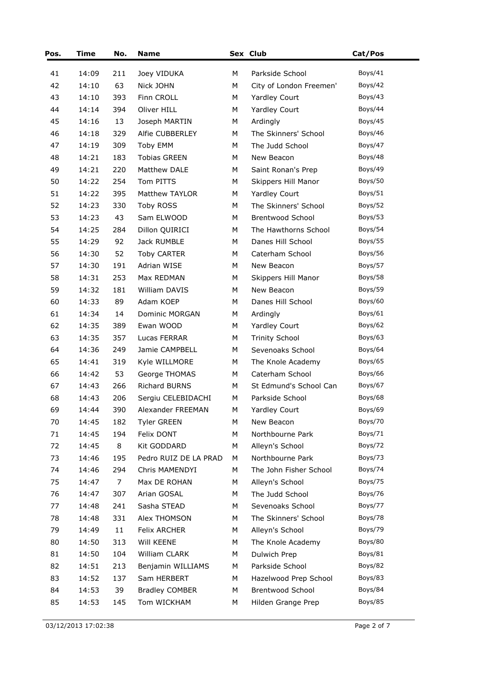| Pos. | Time  | No. | <b>Name</b>           |   | Sex Club                | Cat/Pos |
|------|-------|-----|-----------------------|---|-------------------------|---------|
| 41   | 14:09 | 211 | Joey VIDUKA           | М | Parkside School         | Boys/41 |
| 42   | 14:10 | 63  | Nick JOHN             | М | City of London Freemen' | Boys/42 |
| 43   | 14:10 | 393 | Finn CROLL            | М | Yardley Court           | Boys/43 |
| 44   | 14:14 | 394 | Oliver HILL           | М | Yardley Court           | Boys/44 |
| 45   | 14:16 | 13  | Joseph MARTIN         | М | Ardingly                | Boys/45 |
| 46   | 14:18 | 329 | Alfie CUBBERLEY       | М | The Skinners' School    | Boys/46 |
| 47   | 14:19 | 309 | Toby EMM              | М | The Judd School         | Boys/47 |
| 48   | 14:21 | 183 | <b>Tobias GREEN</b>   | М | New Beacon              | Boys/48 |
| 49   | 14:21 | 220 | Matthew DALE          | М | Saint Ronan's Prep      | Boys/49 |
| 50   | 14:22 | 254 | Tom PITTS             | M | Skippers Hill Manor     | Boys/50 |
| 51   | 14:22 | 395 | Matthew TAYLOR        | M | <b>Yardley Court</b>    | Boys/51 |
| 52   | 14:23 | 330 | Toby ROSS             | М | The Skinners' School    | Boys/52 |
| 53   | 14:23 | 43  | Sam ELWOOD            | М | Brentwood School        | Boys/53 |
| 54   | 14:25 | 284 | Dillon QUIRICI        | М | The Hawthorns School    | Boys/54 |
| 55   | 14:29 | 92  | Jack RUMBLE           | M | Danes Hill School       | Boys/55 |
| 56   | 14:30 | 52  | <b>Toby CARTER</b>    | М | Caterham School         | Boys/56 |
| 57   | 14:30 | 191 | Adrian WISE           | М | New Beacon              | Boys/57 |
| 58   | 14:31 | 253 | Max REDMAN            | M | Skippers Hill Manor     | Boys/58 |
| 59   | 14:32 | 181 | William DAVIS         | М | New Beacon              | Boys/59 |
| 60   | 14:33 | 89  | Adam KOEP             | M | Danes Hill School       | Boys/60 |
| 61   | 14:34 | 14  | Dominic MORGAN        | M | Ardingly                | Boys/61 |
| 62   | 14:35 | 389 | Ewan WOOD             | М | Yardley Court           | Boys/62 |
| 63   | 14:35 | 357 | Lucas FERRAR          | М | <b>Trinity School</b>   | Boys/63 |
| 64   | 14:36 | 249 | Jamie CAMPBELL        | М | Sevenoaks School        | Boys/64 |
| 65   | 14:41 | 319 | Kyle WILLMORE         | M | The Knole Academy       | Boys/65 |
| 66   | 14:42 | 53  | George THOMAS         | М | Caterham School         | Boys/66 |
| 67   | 14:43 | 266 | <b>Richard BURNS</b>  | M | St Edmund's School Can  | Boys/67 |
| 68   | 14:43 | 206 | Sergiu CELEBIDACHI    | М | Parkside School         | Boys/68 |
| 69   | 14:44 | 390 | Alexander FREEMAN     | М | Yardley Court           | Boys/69 |
| 70   | 14:45 | 182 | <b>Tyler GREEN</b>    | М | New Beacon              | Boys/70 |
| 71   | 14:45 | 194 | Felix DONT            | М | Northbourne Park        | Boys/71 |
| 72   | 14:45 | 8   | Kit GODDARD           | М | Alleyn's School         | Boys/72 |
| 73   | 14:46 | 195 | Pedro RUIZ DE LA PRAD | M | Northbourne Park        | Boys/73 |
| 74   | 14:46 | 294 | Chris MAMENDYI        | М | The John Fisher School  | Boys/74 |
| 75   | 14:47 | 7   | Max DE ROHAN          | М | Alleyn's School         | Boys/75 |
| 76   | 14:47 | 307 | Arian GOSAL           | М | The Judd School         | Boys/76 |
| 77   | 14:48 | 241 | Sasha STEAD           | М | Sevenoaks School        | Boys/77 |
| 78   | 14:48 | 331 | Alex THOMSON          | М | The Skinners' School    | Boys/78 |
| 79   | 14:49 | 11  | Felix ARCHER          | М | Alleyn's School         | Boys/79 |
| 80   | 14:50 | 313 | Will KEENE            | М | The Knole Academy       | Boys/80 |
| 81   | 14:50 | 104 | William CLARK         | М | Dulwich Prep            | Boys/81 |
| 82   | 14:51 | 213 | Benjamin WILLIAMS     | М | Parkside School         | Boys/82 |
| 83   | 14:52 | 137 | Sam HERBERT           | М | Hazelwood Prep School   | Boys/83 |
| 84   | 14:53 | 39  | <b>Bradley COMBER</b> | М | Brentwood School        | Boys/84 |
| 85   | 14:53 | 145 | Tom WICKHAM           | М | Hilden Grange Prep      | Boys/85 |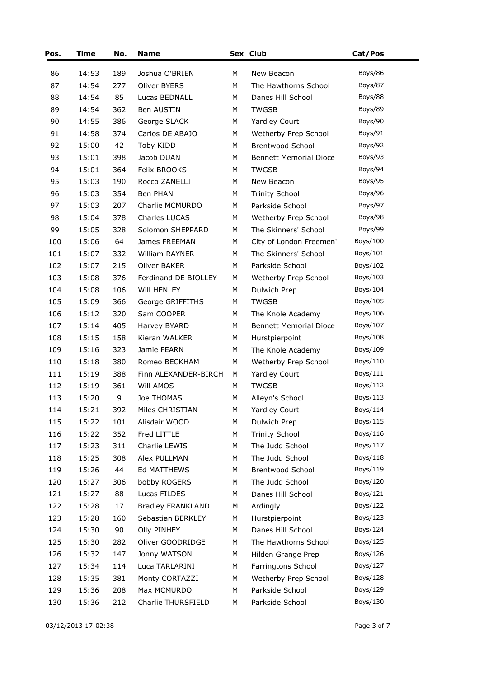| Pos. | <b>Time</b> | No. | <b>Name</b>              |   | Sex Club                      | Cat/Pos  |
|------|-------------|-----|--------------------------|---|-------------------------------|----------|
| 86   | 14:53       | 189 | Joshua O'BRIEN           | М | New Beacon                    | Boys/86  |
| 87   | 14:54       | 277 | Oliver BYERS             | М | The Hawthorns School          | Boys/87  |
| 88   | 14:54       | 85  | Lucas BEDNALL            | М | Danes Hill School             | Boys/88  |
| 89   | 14:54       | 362 | Ben AUSTIN               | М | <b>TWGSB</b>                  | Boys/89  |
| 90   | 14:55       | 386 | George SLACK             | М | Yardley Court                 | Boys/90  |
| 91   | 14:58       | 374 | Carlos DE ABAJO          | М | Wetherby Prep School          | Boys/91  |
| 92   | 15:00       | 42  | Toby KIDD                | М | Brentwood School              | Boys/92  |
| 93   | 15:01       | 398 | Jacob DUAN               | М | <b>Bennett Memorial Dioce</b> | Boys/93  |
| 94   | 15:01       | 364 | Felix BROOKS             | М | <b>TWGSB</b>                  | Boys/94  |
| 95   | 15:03       | 190 | Rocco ZANELLI            | М | New Beacon                    | Boys/95  |
| 96   | 15:03       | 354 | Ben PHAN                 | М | <b>Trinity School</b>         | Boys/96  |
| 97   | 15:03       | 207 | Charlie MCMURDO          | М | Parkside School               | Boys/97  |
| 98   | 15:04       | 378 | Charles LUCAS            | М | Wetherby Prep School          | Boys/98  |
| 99   | 15:05       | 328 | Solomon SHEPPARD         | М | The Skinners' School          | Boys/99  |
| 100  | 15:06       | 64  | James FREEMAN            | М | City of London Freemen'       | Boys/100 |
| 101  | 15:07       | 332 | William RAYNER           | М | The Skinners' School          | Boys/101 |
| 102  | 15:07       | 215 | <b>Oliver BAKER</b>      | М | Parkside School               | Boys/102 |
| 103  | 15:08       | 376 | Ferdinand DE BIOLLEY     | М | Wetherby Prep School          | Boys/103 |
| 104  | 15:08       | 106 | Will HENLEY              | M | Dulwich Prep                  | Boys/104 |
| 105  | 15:09       | 366 | George GRIFFITHS         | М | <b>TWGSB</b>                  | Boys/105 |
| 106  | 15:12       | 320 | Sam COOPER               | М | The Knole Academy             | Boys/106 |
| 107  | 15:14       | 405 | Harvey BYARD             | M | <b>Bennett Memorial Dioce</b> | Boys/107 |
| 108  | 15:15       | 158 | Kieran WALKER            | М | Hurstpierpoint                | Boys/108 |
| 109  | 15:16       | 323 | Jamie FEARN              | М | The Knole Academy             | Boys/109 |
| 110  | 15:18       | 380 | Romeo BECKHAM            | М | Wetherby Prep School          | Boys/110 |
| 111  | 15:19       | 388 | Finn ALEXANDER-BIRCH     | M | Yardley Court                 | Boys/111 |
| 112  | 15:19       | 361 | Will AMOS                | М | <b>TWGSB</b>                  | Boys/112 |
| 113  | 15:20       | 9   | Joe THOMAS               | М | Alleyn's School               | Boys/113 |
| 114  | 15:21       | 392 | Miles CHRISTIAN          | M | Yardley Court                 | Boys/114 |
| 115  | 15:22       | 101 | Alisdair WOOD            | М | Dulwich Prep                  | Boys/115 |
| 116  | 15:22       | 352 | Fred LITTLE              | М | <b>Trinity School</b>         | Boys/116 |
| 117  | 15:23       | 311 | Charlie LEWIS            | М | The Judd School               | Boys/117 |
| 118  | 15:25       | 308 | Alex PULLMAN             | М | The Judd School               | Boys/118 |
| 119  | 15:26       | 44  | Ed MATTHEWS              | М | Brentwood School              | Boys/119 |
| 120  | 15:27       | 306 | bobby ROGERS             | М | The Judd School               | Boys/120 |
| 121  | 15:27       | 88  | Lucas FILDES             | М | Danes Hill School             | Boys/121 |
| 122  | 15:28       | 17  | <b>Bradley FRANKLAND</b> | М | Ardingly                      | Boys/122 |
| 123  | 15:28       | 160 | Sebastian BERKLEY        | М | Hurstpierpoint                | Boys/123 |
| 124  | 15:30       | 90  | <b>Olly PINHEY</b>       | М | Danes Hill School             | Boys/124 |
| 125  | 15:30       | 282 | Oliver GOODRIDGE         | М | The Hawthorns School          | Boys/125 |
| 126  | 15:32       | 147 | Jonny WATSON             | М | Hilden Grange Prep            | Boys/126 |
| 127  | 15:34       | 114 | Luca TARLARINI           | М | Farringtons School            | Boys/127 |
| 128  | 15:35       | 381 | Monty CORTAZZI           | М | Wetherby Prep School          | Boys/128 |
| 129  | 15:36       | 208 | Max MCMURDO              | М | Parkside School               | Boys/129 |
| 130  | 15:36       | 212 | Charlie THURSFIELD       | М | Parkside School               | Boys/130 |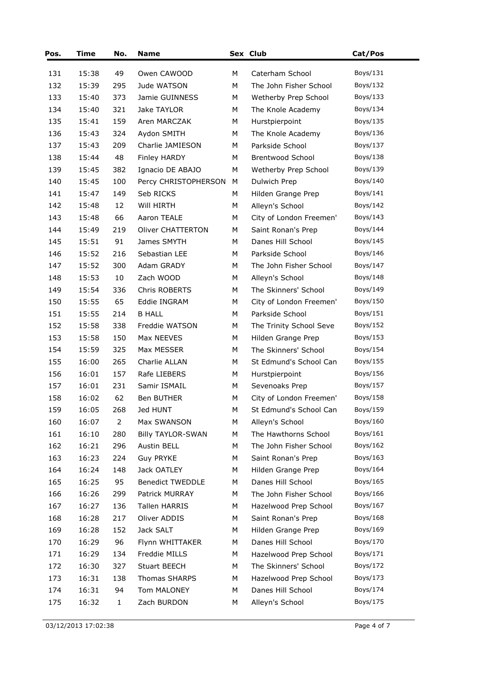| 15:38<br>49<br>Caterham School<br>Boys/131<br>131<br>Owen CAWOOD<br>М<br>132<br>Boys/132<br>15:39<br>295<br>Jude WATSON<br>M<br>The John Fisher School<br>Boys/133<br>133<br>15:40<br>Jamie GUINNESS<br>Wetherby Prep School<br>373<br>M<br>Boys/134<br>134<br>15:40<br>321<br>Jake TAYLOR<br>M<br>The Knole Academy<br>Boys/135<br>135<br>15:41<br>159<br>Aren MARCZAK<br>Hurstpierpoint<br>M<br>136<br>15:43<br>324<br>Aydon SMITH<br>M<br>The Knole Academy<br>Boys/136<br>137<br>15:43<br>209<br>Charlie JAMIESON<br>Parkside School<br>Boys/137<br>M<br>48<br>Boys/138<br>138<br>15:44<br>M<br><b>Brentwood School</b><br>Finley HARDY<br>Boys/139<br>139<br>15:45<br>382<br>Ignacio DE ABAJO<br>M<br>Wetherby Prep School<br>140<br>15:45<br>100<br>Boys/140<br>Percy CHRISTOPHERSON<br>M<br>Dulwich Prep<br>141<br>Boys/141<br>15:47<br>149<br>Seb RICKS<br>M<br>Hilden Grange Prep<br>142<br>15:48<br>12<br>Will HIRTH<br>M<br>Alleyn's School<br>Boys/142<br>143<br>66<br>City of London Freemen'<br>Boys/143<br>15:48<br>Aaron TEALE<br>M<br>144<br>15:49<br>219<br><b>Oliver CHATTERTON</b><br>M<br>Saint Ronan's Prep<br>Boys/144<br>145<br>15:51<br>91<br>James SMYTH<br>Danes Hill School<br>Boys/145<br>M<br>146<br>15:52<br>216<br>Sebastian LEE<br>Parkside School<br>M<br>Boys/146<br>147<br>15:52<br>300<br>Adam GRADY<br>M<br>The John Fisher School<br>Boys/147<br>148<br>15:53<br>10<br>Zach WOOD<br>Alleyn's School<br>Boys/148<br>M<br>149<br>15:54<br>336<br>Chris ROBERTS<br>The Skinners' School<br>Boys/149<br>M<br>150<br>15:55<br>65<br>Eddie INGRAM<br>Boys/150<br>M<br>City of London Freemen'<br>151<br><b>B HALL</b><br>15:55<br>214<br>M<br>Parkside School<br>Boys/151<br>152<br>338<br>Freddie WATSON<br>Boys/152<br>15:58<br>M<br>The Trinity School Seve<br>153<br>15:58<br>150<br>Boys/153<br>Max NEEVES<br>M<br>Hilden Grange Prep<br>154<br>325<br>Max MESSER<br>The Skinners' School<br>Boys/154<br>15:59<br>M<br>155<br>16:00<br>265<br>Charlie ALLAN<br>St Edmund's School Can<br>Boys/155<br>M<br>156<br>157<br>Rafe LIEBERS<br>Boys/156<br>16:01<br>M<br>Hurstpierpoint<br>157<br>231<br>Samir ISMAIL<br>16:01<br>M<br>Sevenoaks Prep<br>Boys/157<br>Boys/158<br>158<br>16:02<br>62<br>Ben BUTHER<br>City of London Freemen'<br>M<br>268<br>Boys/159<br>159<br>16:05<br>Jed HUNT<br>M<br>St Edmund's School Can<br>2<br>Boys/160<br>160<br>16:07<br>Max SWANSON<br>M<br>Alleyn's School<br>161<br>Boys/161<br>16:10<br>280<br><b>Billy TAYLOR-SWAN</b><br>M<br>The Hawthorns School<br>296<br>Austin BELL<br>The John Fisher School<br>Boys/162<br>162<br>16:21<br>М<br>Boys/163<br>163<br>16:23<br>224<br><b>Guy PRYKE</b><br>Saint Ronan's Prep<br>М<br>Jack OATLEY<br>Hilden Grange Prep<br>Boys/164<br>164<br>16:24<br>148<br>M<br>165<br>95<br><b>Benedict TWEDDLE</b><br>Danes Hill School<br>Boys/165<br>16:25<br>M<br>Boys/166<br>166<br>16:26<br>Patrick MURRAY<br>The John Fisher School<br>299<br>М<br>167<br>Boys/167<br>16:27<br>136<br>Tallen HARRIS<br>M<br>Hazelwood Prep School<br>Oliver ADDIS<br>Boys/168<br>168<br>16:28<br>217<br>M<br>Saint Ronan's Prep<br>169<br>152<br>Jack SALT<br>Boys/169<br>16:28<br>M<br>Hilden Grange Prep<br>Boys/170<br>16:29<br>96<br>Flynn WHITTAKER<br>Danes Hill School<br>170<br>M<br>171<br>16:29<br>Freddie MILLS<br>Hazelwood Prep School<br>Boys/171<br>134<br>M<br>The Skinners' School<br>172<br>16:30<br>327<br>Stuart BEECH<br>M<br>Boys/172<br>173<br>Thomas SHARPS<br>Boys/173<br>16:31<br>138<br>M<br>Hazelwood Prep School<br>Boys/174<br>16:31<br>Tom MALONEY<br>Danes Hill School<br>174<br>94<br>M<br>Boys/175<br>Alleyn's School<br>175<br>16:32<br>$\mathbf{1}$<br>Zach BURDON<br>M | Pos. | Time | No. | <b>Name</b> | Sex Club | Cat/Pos |
|-----------------------------------------------------------------------------------------------------------------------------------------------------------------------------------------------------------------------------------------------------------------------------------------------------------------------------------------------------------------------------------------------------------------------------------------------------------------------------------------------------------------------------------------------------------------------------------------------------------------------------------------------------------------------------------------------------------------------------------------------------------------------------------------------------------------------------------------------------------------------------------------------------------------------------------------------------------------------------------------------------------------------------------------------------------------------------------------------------------------------------------------------------------------------------------------------------------------------------------------------------------------------------------------------------------------------------------------------------------------------------------------------------------------------------------------------------------------------------------------------------------------------------------------------------------------------------------------------------------------------------------------------------------------------------------------------------------------------------------------------------------------------------------------------------------------------------------------------------------------------------------------------------------------------------------------------------------------------------------------------------------------------------------------------------------------------------------------------------------------------------------------------------------------------------------------------------------------------------------------------------------------------------------------------------------------------------------------------------------------------------------------------------------------------------------------------------------------------------------------------------------------------------------------------------------------------------------------------------------------------------------------------------------------------------------------------------------------------------------------------------------------------------------------------------------------------------------------------------------------------------------------------------------------------------------------------------------------------------------------------------------------------------------------------------------------------------------------------------------------------------------------------------------------------------------------------------------------------------------------------------------------------------------------------------------------------------------------------------------------------------------------------------------------------------------------------------------------------------------------------------------------------------------------------------------------------------------------------------------------------------------------------------------------------------------------------------------|------|------|-----|-------------|----------|---------|
|                                                                                                                                                                                                                                                                                                                                                                                                                                                                                                                                                                                                                                                                                                                                                                                                                                                                                                                                                                                                                                                                                                                                                                                                                                                                                                                                                                                                                                                                                                                                                                                                                                                                                                                                                                                                                                                                                                                                                                                                                                                                                                                                                                                                                                                                                                                                                                                                                                                                                                                                                                                                                                                                                                                                                                                                                                                                                                                                                                                                                                                                                                                                                                                                                                                                                                                                                                                                                                                                                                                                                                                                                                                                                                           |      |      |     |             |          |         |
|                                                                                                                                                                                                                                                                                                                                                                                                                                                                                                                                                                                                                                                                                                                                                                                                                                                                                                                                                                                                                                                                                                                                                                                                                                                                                                                                                                                                                                                                                                                                                                                                                                                                                                                                                                                                                                                                                                                                                                                                                                                                                                                                                                                                                                                                                                                                                                                                                                                                                                                                                                                                                                                                                                                                                                                                                                                                                                                                                                                                                                                                                                                                                                                                                                                                                                                                                                                                                                                                                                                                                                                                                                                                                                           |      |      |     |             |          |         |
|                                                                                                                                                                                                                                                                                                                                                                                                                                                                                                                                                                                                                                                                                                                                                                                                                                                                                                                                                                                                                                                                                                                                                                                                                                                                                                                                                                                                                                                                                                                                                                                                                                                                                                                                                                                                                                                                                                                                                                                                                                                                                                                                                                                                                                                                                                                                                                                                                                                                                                                                                                                                                                                                                                                                                                                                                                                                                                                                                                                                                                                                                                                                                                                                                                                                                                                                                                                                                                                                                                                                                                                                                                                                                                           |      |      |     |             |          |         |
|                                                                                                                                                                                                                                                                                                                                                                                                                                                                                                                                                                                                                                                                                                                                                                                                                                                                                                                                                                                                                                                                                                                                                                                                                                                                                                                                                                                                                                                                                                                                                                                                                                                                                                                                                                                                                                                                                                                                                                                                                                                                                                                                                                                                                                                                                                                                                                                                                                                                                                                                                                                                                                                                                                                                                                                                                                                                                                                                                                                                                                                                                                                                                                                                                                                                                                                                                                                                                                                                                                                                                                                                                                                                                                           |      |      |     |             |          |         |
|                                                                                                                                                                                                                                                                                                                                                                                                                                                                                                                                                                                                                                                                                                                                                                                                                                                                                                                                                                                                                                                                                                                                                                                                                                                                                                                                                                                                                                                                                                                                                                                                                                                                                                                                                                                                                                                                                                                                                                                                                                                                                                                                                                                                                                                                                                                                                                                                                                                                                                                                                                                                                                                                                                                                                                                                                                                                                                                                                                                                                                                                                                                                                                                                                                                                                                                                                                                                                                                                                                                                                                                                                                                                                                           |      |      |     |             |          |         |
|                                                                                                                                                                                                                                                                                                                                                                                                                                                                                                                                                                                                                                                                                                                                                                                                                                                                                                                                                                                                                                                                                                                                                                                                                                                                                                                                                                                                                                                                                                                                                                                                                                                                                                                                                                                                                                                                                                                                                                                                                                                                                                                                                                                                                                                                                                                                                                                                                                                                                                                                                                                                                                                                                                                                                                                                                                                                                                                                                                                                                                                                                                                                                                                                                                                                                                                                                                                                                                                                                                                                                                                                                                                                                                           |      |      |     |             |          |         |
|                                                                                                                                                                                                                                                                                                                                                                                                                                                                                                                                                                                                                                                                                                                                                                                                                                                                                                                                                                                                                                                                                                                                                                                                                                                                                                                                                                                                                                                                                                                                                                                                                                                                                                                                                                                                                                                                                                                                                                                                                                                                                                                                                                                                                                                                                                                                                                                                                                                                                                                                                                                                                                                                                                                                                                                                                                                                                                                                                                                                                                                                                                                                                                                                                                                                                                                                                                                                                                                                                                                                                                                                                                                                                                           |      |      |     |             |          |         |
|                                                                                                                                                                                                                                                                                                                                                                                                                                                                                                                                                                                                                                                                                                                                                                                                                                                                                                                                                                                                                                                                                                                                                                                                                                                                                                                                                                                                                                                                                                                                                                                                                                                                                                                                                                                                                                                                                                                                                                                                                                                                                                                                                                                                                                                                                                                                                                                                                                                                                                                                                                                                                                                                                                                                                                                                                                                                                                                                                                                                                                                                                                                                                                                                                                                                                                                                                                                                                                                                                                                                                                                                                                                                                                           |      |      |     |             |          |         |
|                                                                                                                                                                                                                                                                                                                                                                                                                                                                                                                                                                                                                                                                                                                                                                                                                                                                                                                                                                                                                                                                                                                                                                                                                                                                                                                                                                                                                                                                                                                                                                                                                                                                                                                                                                                                                                                                                                                                                                                                                                                                                                                                                                                                                                                                                                                                                                                                                                                                                                                                                                                                                                                                                                                                                                                                                                                                                                                                                                                                                                                                                                                                                                                                                                                                                                                                                                                                                                                                                                                                                                                                                                                                                                           |      |      |     |             |          |         |
|                                                                                                                                                                                                                                                                                                                                                                                                                                                                                                                                                                                                                                                                                                                                                                                                                                                                                                                                                                                                                                                                                                                                                                                                                                                                                                                                                                                                                                                                                                                                                                                                                                                                                                                                                                                                                                                                                                                                                                                                                                                                                                                                                                                                                                                                                                                                                                                                                                                                                                                                                                                                                                                                                                                                                                                                                                                                                                                                                                                                                                                                                                                                                                                                                                                                                                                                                                                                                                                                                                                                                                                                                                                                                                           |      |      |     |             |          |         |
|                                                                                                                                                                                                                                                                                                                                                                                                                                                                                                                                                                                                                                                                                                                                                                                                                                                                                                                                                                                                                                                                                                                                                                                                                                                                                                                                                                                                                                                                                                                                                                                                                                                                                                                                                                                                                                                                                                                                                                                                                                                                                                                                                                                                                                                                                                                                                                                                                                                                                                                                                                                                                                                                                                                                                                                                                                                                                                                                                                                                                                                                                                                                                                                                                                                                                                                                                                                                                                                                                                                                                                                                                                                                                                           |      |      |     |             |          |         |
|                                                                                                                                                                                                                                                                                                                                                                                                                                                                                                                                                                                                                                                                                                                                                                                                                                                                                                                                                                                                                                                                                                                                                                                                                                                                                                                                                                                                                                                                                                                                                                                                                                                                                                                                                                                                                                                                                                                                                                                                                                                                                                                                                                                                                                                                                                                                                                                                                                                                                                                                                                                                                                                                                                                                                                                                                                                                                                                                                                                                                                                                                                                                                                                                                                                                                                                                                                                                                                                                                                                                                                                                                                                                                                           |      |      |     |             |          |         |
|                                                                                                                                                                                                                                                                                                                                                                                                                                                                                                                                                                                                                                                                                                                                                                                                                                                                                                                                                                                                                                                                                                                                                                                                                                                                                                                                                                                                                                                                                                                                                                                                                                                                                                                                                                                                                                                                                                                                                                                                                                                                                                                                                                                                                                                                                                                                                                                                                                                                                                                                                                                                                                                                                                                                                                                                                                                                                                                                                                                                                                                                                                                                                                                                                                                                                                                                                                                                                                                                                                                                                                                                                                                                                                           |      |      |     |             |          |         |
|                                                                                                                                                                                                                                                                                                                                                                                                                                                                                                                                                                                                                                                                                                                                                                                                                                                                                                                                                                                                                                                                                                                                                                                                                                                                                                                                                                                                                                                                                                                                                                                                                                                                                                                                                                                                                                                                                                                                                                                                                                                                                                                                                                                                                                                                                                                                                                                                                                                                                                                                                                                                                                                                                                                                                                                                                                                                                                                                                                                                                                                                                                                                                                                                                                                                                                                                                                                                                                                                                                                                                                                                                                                                                                           |      |      |     |             |          |         |
|                                                                                                                                                                                                                                                                                                                                                                                                                                                                                                                                                                                                                                                                                                                                                                                                                                                                                                                                                                                                                                                                                                                                                                                                                                                                                                                                                                                                                                                                                                                                                                                                                                                                                                                                                                                                                                                                                                                                                                                                                                                                                                                                                                                                                                                                                                                                                                                                                                                                                                                                                                                                                                                                                                                                                                                                                                                                                                                                                                                                                                                                                                                                                                                                                                                                                                                                                                                                                                                                                                                                                                                                                                                                                                           |      |      |     |             |          |         |
|                                                                                                                                                                                                                                                                                                                                                                                                                                                                                                                                                                                                                                                                                                                                                                                                                                                                                                                                                                                                                                                                                                                                                                                                                                                                                                                                                                                                                                                                                                                                                                                                                                                                                                                                                                                                                                                                                                                                                                                                                                                                                                                                                                                                                                                                                                                                                                                                                                                                                                                                                                                                                                                                                                                                                                                                                                                                                                                                                                                                                                                                                                                                                                                                                                                                                                                                                                                                                                                                                                                                                                                                                                                                                                           |      |      |     |             |          |         |
|                                                                                                                                                                                                                                                                                                                                                                                                                                                                                                                                                                                                                                                                                                                                                                                                                                                                                                                                                                                                                                                                                                                                                                                                                                                                                                                                                                                                                                                                                                                                                                                                                                                                                                                                                                                                                                                                                                                                                                                                                                                                                                                                                                                                                                                                                                                                                                                                                                                                                                                                                                                                                                                                                                                                                                                                                                                                                                                                                                                                                                                                                                                                                                                                                                                                                                                                                                                                                                                                                                                                                                                                                                                                                                           |      |      |     |             |          |         |
|                                                                                                                                                                                                                                                                                                                                                                                                                                                                                                                                                                                                                                                                                                                                                                                                                                                                                                                                                                                                                                                                                                                                                                                                                                                                                                                                                                                                                                                                                                                                                                                                                                                                                                                                                                                                                                                                                                                                                                                                                                                                                                                                                                                                                                                                                                                                                                                                                                                                                                                                                                                                                                                                                                                                                                                                                                                                                                                                                                                                                                                                                                                                                                                                                                                                                                                                                                                                                                                                                                                                                                                                                                                                                                           |      |      |     |             |          |         |
|                                                                                                                                                                                                                                                                                                                                                                                                                                                                                                                                                                                                                                                                                                                                                                                                                                                                                                                                                                                                                                                                                                                                                                                                                                                                                                                                                                                                                                                                                                                                                                                                                                                                                                                                                                                                                                                                                                                                                                                                                                                                                                                                                                                                                                                                                                                                                                                                                                                                                                                                                                                                                                                                                                                                                                                                                                                                                                                                                                                                                                                                                                                                                                                                                                                                                                                                                                                                                                                                                                                                                                                                                                                                                                           |      |      |     |             |          |         |
|                                                                                                                                                                                                                                                                                                                                                                                                                                                                                                                                                                                                                                                                                                                                                                                                                                                                                                                                                                                                                                                                                                                                                                                                                                                                                                                                                                                                                                                                                                                                                                                                                                                                                                                                                                                                                                                                                                                                                                                                                                                                                                                                                                                                                                                                                                                                                                                                                                                                                                                                                                                                                                                                                                                                                                                                                                                                                                                                                                                                                                                                                                                                                                                                                                                                                                                                                                                                                                                                                                                                                                                                                                                                                                           |      |      |     |             |          |         |
|                                                                                                                                                                                                                                                                                                                                                                                                                                                                                                                                                                                                                                                                                                                                                                                                                                                                                                                                                                                                                                                                                                                                                                                                                                                                                                                                                                                                                                                                                                                                                                                                                                                                                                                                                                                                                                                                                                                                                                                                                                                                                                                                                                                                                                                                                                                                                                                                                                                                                                                                                                                                                                                                                                                                                                                                                                                                                                                                                                                                                                                                                                                                                                                                                                                                                                                                                                                                                                                                                                                                                                                                                                                                                                           |      |      |     |             |          |         |
|                                                                                                                                                                                                                                                                                                                                                                                                                                                                                                                                                                                                                                                                                                                                                                                                                                                                                                                                                                                                                                                                                                                                                                                                                                                                                                                                                                                                                                                                                                                                                                                                                                                                                                                                                                                                                                                                                                                                                                                                                                                                                                                                                                                                                                                                                                                                                                                                                                                                                                                                                                                                                                                                                                                                                                                                                                                                                                                                                                                                                                                                                                                                                                                                                                                                                                                                                                                                                                                                                                                                                                                                                                                                                                           |      |      |     |             |          |         |
|                                                                                                                                                                                                                                                                                                                                                                                                                                                                                                                                                                                                                                                                                                                                                                                                                                                                                                                                                                                                                                                                                                                                                                                                                                                                                                                                                                                                                                                                                                                                                                                                                                                                                                                                                                                                                                                                                                                                                                                                                                                                                                                                                                                                                                                                                                                                                                                                                                                                                                                                                                                                                                                                                                                                                                                                                                                                                                                                                                                                                                                                                                                                                                                                                                                                                                                                                                                                                                                                                                                                                                                                                                                                                                           |      |      |     |             |          |         |
|                                                                                                                                                                                                                                                                                                                                                                                                                                                                                                                                                                                                                                                                                                                                                                                                                                                                                                                                                                                                                                                                                                                                                                                                                                                                                                                                                                                                                                                                                                                                                                                                                                                                                                                                                                                                                                                                                                                                                                                                                                                                                                                                                                                                                                                                                                                                                                                                                                                                                                                                                                                                                                                                                                                                                                                                                                                                                                                                                                                                                                                                                                                                                                                                                                                                                                                                                                                                                                                                                                                                                                                                                                                                                                           |      |      |     |             |          |         |
|                                                                                                                                                                                                                                                                                                                                                                                                                                                                                                                                                                                                                                                                                                                                                                                                                                                                                                                                                                                                                                                                                                                                                                                                                                                                                                                                                                                                                                                                                                                                                                                                                                                                                                                                                                                                                                                                                                                                                                                                                                                                                                                                                                                                                                                                                                                                                                                                                                                                                                                                                                                                                                                                                                                                                                                                                                                                                                                                                                                                                                                                                                                                                                                                                                                                                                                                                                                                                                                                                                                                                                                                                                                                                                           |      |      |     |             |          |         |
|                                                                                                                                                                                                                                                                                                                                                                                                                                                                                                                                                                                                                                                                                                                                                                                                                                                                                                                                                                                                                                                                                                                                                                                                                                                                                                                                                                                                                                                                                                                                                                                                                                                                                                                                                                                                                                                                                                                                                                                                                                                                                                                                                                                                                                                                                                                                                                                                                                                                                                                                                                                                                                                                                                                                                                                                                                                                                                                                                                                                                                                                                                                                                                                                                                                                                                                                                                                                                                                                                                                                                                                                                                                                                                           |      |      |     |             |          |         |
|                                                                                                                                                                                                                                                                                                                                                                                                                                                                                                                                                                                                                                                                                                                                                                                                                                                                                                                                                                                                                                                                                                                                                                                                                                                                                                                                                                                                                                                                                                                                                                                                                                                                                                                                                                                                                                                                                                                                                                                                                                                                                                                                                                                                                                                                                                                                                                                                                                                                                                                                                                                                                                                                                                                                                                                                                                                                                                                                                                                                                                                                                                                                                                                                                                                                                                                                                                                                                                                                                                                                                                                                                                                                                                           |      |      |     |             |          |         |
|                                                                                                                                                                                                                                                                                                                                                                                                                                                                                                                                                                                                                                                                                                                                                                                                                                                                                                                                                                                                                                                                                                                                                                                                                                                                                                                                                                                                                                                                                                                                                                                                                                                                                                                                                                                                                                                                                                                                                                                                                                                                                                                                                                                                                                                                                                                                                                                                                                                                                                                                                                                                                                                                                                                                                                                                                                                                                                                                                                                                                                                                                                                                                                                                                                                                                                                                                                                                                                                                                                                                                                                                                                                                                                           |      |      |     |             |          |         |
|                                                                                                                                                                                                                                                                                                                                                                                                                                                                                                                                                                                                                                                                                                                                                                                                                                                                                                                                                                                                                                                                                                                                                                                                                                                                                                                                                                                                                                                                                                                                                                                                                                                                                                                                                                                                                                                                                                                                                                                                                                                                                                                                                                                                                                                                                                                                                                                                                                                                                                                                                                                                                                                                                                                                                                                                                                                                                                                                                                                                                                                                                                                                                                                                                                                                                                                                                                                                                                                                                                                                                                                                                                                                                                           |      |      |     |             |          |         |
|                                                                                                                                                                                                                                                                                                                                                                                                                                                                                                                                                                                                                                                                                                                                                                                                                                                                                                                                                                                                                                                                                                                                                                                                                                                                                                                                                                                                                                                                                                                                                                                                                                                                                                                                                                                                                                                                                                                                                                                                                                                                                                                                                                                                                                                                                                                                                                                                                                                                                                                                                                                                                                                                                                                                                                                                                                                                                                                                                                                                                                                                                                                                                                                                                                                                                                                                                                                                                                                                                                                                                                                                                                                                                                           |      |      |     |             |          |         |
|                                                                                                                                                                                                                                                                                                                                                                                                                                                                                                                                                                                                                                                                                                                                                                                                                                                                                                                                                                                                                                                                                                                                                                                                                                                                                                                                                                                                                                                                                                                                                                                                                                                                                                                                                                                                                                                                                                                                                                                                                                                                                                                                                                                                                                                                                                                                                                                                                                                                                                                                                                                                                                                                                                                                                                                                                                                                                                                                                                                                                                                                                                                                                                                                                                                                                                                                                                                                                                                                                                                                                                                                                                                                                                           |      |      |     |             |          |         |
|                                                                                                                                                                                                                                                                                                                                                                                                                                                                                                                                                                                                                                                                                                                                                                                                                                                                                                                                                                                                                                                                                                                                                                                                                                                                                                                                                                                                                                                                                                                                                                                                                                                                                                                                                                                                                                                                                                                                                                                                                                                                                                                                                                                                                                                                                                                                                                                                                                                                                                                                                                                                                                                                                                                                                                                                                                                                                                                                                                                                                                                                                                                                                                                                                                                                                                                                                                                                                                                                                                                                                                                                                                                                                                           |      |      |     |             |          |         |
|                                                                                                                                                                                                                                                                                                                                                                                                                                                                                                                                                                                                                                                                                                                                                                                                                                                                                                                                                                                                                                                                                                                                                                                                                                                                                                                                                                                                                                                                                                                                                                                                                                                                                                                                                                                                                                                                                                                                                                                                                                                                                                                                                                                                                                                                                                                                                                                                                                                                                                                                                                                                                                                                                                                                                                                                                                                                                                                                                                                                                                                                                                                                                                                                                                                                                                                                                                                                                                                                                                                                                                                                                                                                                                           |      |      |     |             |          |         |
|                                                                                                                                                                                                                                                                                                                                                                                                                                                                                                                                                                                                                                                                                                                                                                                                                                                                                                                                                                                                                                                                                                                                                                                                                                                                                                                                                                                                                                                                                                                                                                                                                                                                                                                                                                                                                                                                                                                                                                                                                                                                                                                                                                                                                                                                                                                                                                                                                                                                                                                                                                                                                                                                                                                                                                                                                                                                                                                                                                                                                                                                                                                                                                                                                                                                                                                                                                                                                                                                                                                                                                                                                                                                                                           |      |      |     |             |          |         |
|                                                                                                                                                                                                                                                                                                                                                                                                                                                                                                                                                                                                                                                                                                                                                                                                                                                                                                                                                                                                                                                                                                                                                                                                                                                                                                                                                                                                                                                                                                                                                                                                                                                                                                                                                                                                                                                                                                                                                                                                                                                                                                                                                                                                                                                                                                                                                                                                                                                                                                                                                                                                                                                                                                                                                                                                                                                                                                                                                                                                                                                                                                                                                                                                                                                                                                                                                                                                                                                                                                                                                                                                                                                                                                           |      |      |     |             |          |         |
|                                                                                                                                                                                                                                                                                                                                                                                                                                                                                                                                                                                                                                                                                                                                                                                                                                                                                                                                                                                                                                                                                                                                                                                                                                                                                                                                                                                                                                                                                                                                                                                                                                                                                                                                                                                                                                                                                                                                                                                                                                                                                                                                                                                                                                                                                                                                                                                                                                                                                                                                                                                                                                                                                                                                                                                                                                                                                                                                                                                                                                                                                                                                                                                                                                                                                                                                                                                                                                                                                                                                                                                                                                                                                                           |      |      |     |             |          |         |
|                                                                                                                                                                                                                                                                                                                                                                                                                                                                                                                                                                                                                                                                                                                                                                                                                                                                                                                                                                                                                                                                                                                                                                                                                                                                                                                                                                                                                                                                                                                                                                                                                                                                                                                                                                                                                                                                                                                                                                                                                                                                                                                                                                                                                                                                                                                                                                                                                                                                                                                                                                                                                                                                                                                                                                                                                                                                                                                                                                                                                                                                                                                                                                                                                                                                                                                                                                                                                                                                                                                                                                                                                                                                                                           |      |      |     |             |          |         |
|                                                                                                                                                                                                                                                                                                                                                                                                                                                                                                                                                                                                                                                                                                                                                                                                                                                                                                                                                                                                                                                                                                                                                                                                                                                                                                                                                                                                                                                                                                                                                                                                                                                                                                                                                                                                                                                                                                                                                                                                                                                                                                                                                                                                                                                                                                                                                                                                                                                                                                                                                                                                                                                                                                                                                                                                                                                                                                                                                                                                                                                                                                                                                                                                                                                                                                                                                                                                                                                                                                                                                                                                                                                                                                           |      |      |     |             |          |         |
|                                                                                                                                                                                                                                                                                                                                                                                                                                                                                                                                                                                                                                                                                                                                                                                                                                                                                                                                                                                                                                                                                                                                                                                                                                                                                                                                                                                                                                                                                                                                                                                                                                                                                                                                                                                                                                                                                                                                                                                                                                                                                                                                                                                                                                                                                                                                                                                                                                                                                                                                                                                                                                                                                                                                                                                                                                                                                                                                                                                                                                                                                                                                                                                                                                                                                                                                                                                                                                                                                                                                                                                                                                                                                                           |      |      |     |             |          |         |
|                                                                                                                                                                                                                                                                                                                                                                                                                                                                                                                                                                                                                                                                                                                                                                                                                                                                                                                                                                                                                                                                                                                                                                                                                                                                                                                                                                                                                                                                                                                                                                                                                                                                                                                                                                                                                                                                                                                                                                                                                                                                                                                                                                                                                                                                                                                                                                                                                                                                                                                                                                                                                                                                                                                                                                                                                                                                                                                                                                                                                                                                                                                                                                                                                                                                                                                                                                                                                                                                                                                                                                                                                                                                                                           |      |      |     |             |          |         |
|                                                                                                                                                                                                                                                                                                                                                                                                                                                                                                                                                                                                                                                                                                                                                                                                                                                                                                                                                                                                                                                                                                                                                                                                                                                                                                                                                                                                                                                                                                                                                                                                                                                                                                                                                                                                                                                                                                                                                                                                                                                                                                                                                                                                                                                                                                                                                                                                                                                                                                                                                                                                                                                                                                                                                                                                                                                                                                                                                                                                                                                                                                                                                                                                                                                                                                                                                                                                                                                                                                                                                                                                                                                                                                           |      |      |     |             |          |         |
|                                                                                                                                                                                                                                                                                                                                                                                                                                                                                                                                                                                                                                                                                                                                                                                                                                                                                                                                                                                                                                                                                                                                                                                                                                                                                                                                                                                                                                                                                                                                                                                                                                                                                                                                                                                                                                                                                                                                                                                                                                                                                                                                                                                                                                                                                                                                                                                                                                                                                                                                                                                                                                                                                                                                                                                                                                                                                                                                                                                                                                                                                                                                                                                                                                                                                                                                                                                                                                                                                                                                                                                                                                                                                                           |      |      |     |             |          |         |
|                                                                                                                                                                                                                                                                                                                                                                                                                                                                                                                                                                                                                                                                                                                                                                                                                                                                                                                                                                                                                                                                                                                                                                                                                                                                                                                                                                                                                                                                                                                                                                                                                                                                                                                                                                                                                                                                                                                                                                                                                                                                                                                                                                                                                                                                                                                                                                                                                                                                                                                                                                                                                                                                                                                                                                                                                                                                                                                                                                                                                                                                                                                                                                                                                                                                                                                                                                                                                                                                                                                                                                                                                                                                                                           |      |      |     |             |          |         |
|                                                                                                                                                                                                                                                                                                                                                                                                                                                                                                                                                                                                                                                                                                                                                                                                                                                                                                                                                                                                                                                                                                                                                                                                                                                                                                                                                                                                                                                                                                                                                                                                                                                                                                                                                                                                                                                                                                                                                                                                                                                                                                                                                                                                                                                                                                                                                                                                                                                                                                                                                                                                                                                                                                                                                                                                                                                                                                                                                                                                                                                                                                                                                                                                                                                                                                                                                                                                                                                                                                                                                                                                                                                                                                           |      |      |     |             |          |         |
|                                                                                                                                                                                                                                                                                                                                                                                                                                                                                                                                                                                                                                                                                                                                                                                                                                                                                                                                                                                                                                                                                                                                                                                                                                                                                                                                                                                                                                                                                                                                                                                                                                                                                                                                                                                                                                                                                                                                                                                                                                                                                                                                                                                                                                                                                                                                                                                                                                                                                                                                                                                                                                                                                                                                                                                                                                                                                                                                                                                                                                                                                                                                                                                                                                                                                                                                                                                                                                                                                                                                                                                                                                                                                                           |      |      |     |             |          |         |
|                                                                                                                                                                                                                                                                                                                                                                                                                                                                                                                                                                                                                                                                                                                                                                                                                                                                                                                                                                                                                                                                                                                                                                                                                                                                                                                                                                                                                                                                                                                                                                                                                                                                                                                                                                                                                                                                                                                                                                                                                                                                                                                                                                                                                                                                                                                                                                                                                                                                                                                                                                                                                                                                                                                                                                                                                                                                                                                                                                                                                                                                                                                                                                                                                                                                                                                                                                                                                                                                                                                                                                                                                                                                                                           |      |      |     |             |          |         |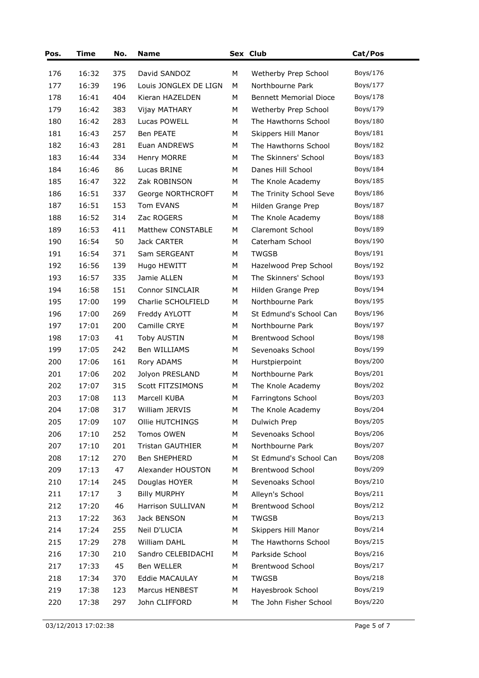| Pos. | Time  | No. | <b>Name</b>             |   | Sex Club                      | Cat/Pos  |
|------|-------|-----|-------------------------|---|-------------------------------|----------|
| 176  | 16:32 | 375 | David SANDOZ            | м | Wetherby Prep School          | Boys/176 |
| 177  | 16:39 | 196 | Louis JONGLEX DE LIGN   | M | Northbourne Park              | Boys/177 |
| 178  | 16:41 | 404 | Kieran HAZELDEN         | М | <b>Bennett Memorial Dioce</b> | Boys/178 |
| 179  | 16:42 | 383 | Vijay MATHARY           | М | Wetherby Prep School          | Boys/179 |
| 180  | 16:42 | 283 | Lucas POWELL            | м | The Hawthorns School          | Boys/180 |
| 181  | 16:43 | 257 | Ben PEATE               | М | Skippers Hill Manor           | Boys/181 |
| 182  | 16:43 | 281 | Euan ANDREWS            | М | The Hawthorns School          | Boys/182 |
| 183  | 16:44 | 334 | Henry MORRE             | М | The Skinners' School          | Boys/183 |
| 184  | 16:46 | 86  | Lucas BRINE             | м | Danes Hill School             | Boys/184 |
| 185  | 16:47 | 322 | Zak ROBINSON            | М | The Knole Academy             | Boys/185 |
| 186  | 16:51 | 337 | George NORTHCROFT       | М | The Trinity School Seve       | Boys/186 |
| 187  | 16:51 | 153 | Tom EVANS               | М | Hilden Grange Prep            | Boys/187 |
| 188  | 16:52 | 314 | Zac ROGERS              | М | The Knole Academy             | Boys/188 |
| 189  | 16:53 | 411 | Matthew CONSTABLE       | М | Claremont School              | Boys/189 |
| 190  | 16:54 | 50  | <b>Jack CARTER</b>      | М | Caterham School               | Boys/190 |
| 191  | 16:54 | 371 | Sam SERGEANT            | М | <b>TWGSB</b>                  | Boys/191 |
| 192  | 16:56 | 139 | Hugo HEWITT             | М | Hazelwood Prep School         | Boys/192 |
| 193  | 16:57 | 335 | Jamie ALLEN             | М | The Skinners' School          | Boys/193 |
| 194  | 16:58 | 151 | Connor SINCLAIR         | М | Hilden Grange Prep            | Boys/194 |
| 195  | 17:00 | 199 | Charlie SCHOLFIELD      | М | Northbourne Park              | Boys/195 |
| 196  | 17:00 | 269 | Freddy AYLOTT           | М | St Edmund's School Can        | Boys/196 |
| 197  | 17:01 | 200 | Camille CRYE            | М | Northbourne Park              | Boys/197 |
| 198  | 17:03 | 41  | <b>Toby AUSTIN</b>      | М | <b>Brentwood School</b>       | Boys/198 |
| 199  | 17:05 | 242 | Ben WILLIAMS            | М | Sevenoaks School              | Boys/199 |
| 200  | 17:06 | 161 | Rory ADAMS              | М | Hurstpierpoint                | Boys/200 |
| 201  | 17:06 | 202 | Jolyon PRESLAND         | М | Northbourne Park              | Boys/201 |
| 202  | 17:07 | 315 | Scott FITZSIMONS        | М | The Knole Academy             | Boys/202 |
| 203  | 17:08 | 113 | Marcell KUBA            | М | Farringtons School            | Boys/203 |
| 204  | 17:08 | 317 | William JERVIS          | М | The Knole Academy             | Boys/204 |
| 205  | 17:09 | 107 | Ollie HUTCHINGS         | М | Dulwich Prep                  | Boys/205 |
| 206  | 17:10 | 252 | Tomos OWEN              | М | Sevenoaks School              | Boys/206 |
| 207  | 17:10 | 201 | <b>Tristan GAUTHIER</b> | М | Northbourne Park              | Boys/207 |
| 208  | 17:12 | 270 | Ben SHEPHERD            | М | St Edmund's School Can        | Boys/208 |
| 209  | 17:13 | 47  | Alexander HOUSTON       | М | <b>Brentwood School</b>       | Boys/209 |
| 210  | 17:14 | 245 | Douglas HOYER           | М | Sevenoaks School              | Boys/210 |
| 211  | 17:17 | 3   | <b>Billy MURPHY</b>     | М | Alleyn's School               | Boys/211 |
| 212  | 17:20 | 46  | Harrison SULLIVAN       | М | <b>Brentwood School</b>       | Boys/212 |
| 213  | 17:22 | 363 | Jack BENSON             | М | <b>TWGSB</b>                  | Boys/213 |
| 214  | 17:24 | 255 | Neil D'LUCIA            | М | Skippers Hill Manor           | Boys/214 |
| 215  | 17:29 | 278 | William DAHL            | М | The Hawthorns School          | Boys/215 |
| 216  | 17:30 | 210 | Sandro CELEBIDACHI      | М | Parkside School               | Boys/216 |
| 217  | 17:33 | 45  | Ben WELLER              | М | Brentwood School              | Boys/217 |
| 218  | 17:34 | 370 | Eddie MACAULAY          | М | <b>TWGSB</b>                  | Boys/218 |
| 219  | 17:38 | 123 | Marcus HENBEST          | М | Hayesbrook School             | Boys/219 |
| 220  | 17:38 | 297 | John CLIFFORD           | М | The John Fisher School        | Boys/220 |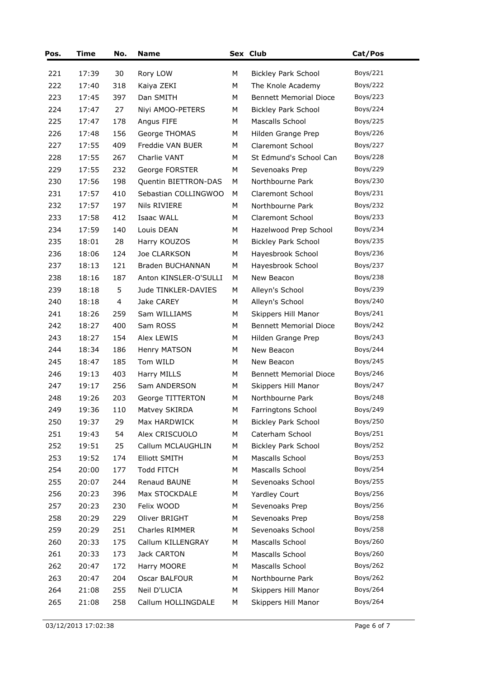| Pos. | <b>Time</b> | No. | <b>Name</b>           |   | Sex Club                      | Cat/Pos  |
|------|-------------|-----|-----------------------|---|-------------------------------|----------|
| 221  | 17:39       | 30  | Rory LOW              | М | <b>Bickley Park School</b>    | Boys/221 |
| 222  | 17:40       | 318 | Kaiya ZEKI            | М | The Knole Academy             | Boys/222 |
| 223  | 17:45       | 397 | Dan SMITH             | М | <b>Bennett Memorial Dioce</b> | Boys/223 |
| 224  | 17:47       | 27  | Niyi AMOO-PETERS      | М | <b>Bickley Park School</b>    | Boys/224 |
| 225  | 17:47       | 178 | Angus FIFE            | М | Mascalls School               | Boys/225 |
| 226  | 17:48       | 156 | George THOMAS         | М | Hilden Grange Prep            | Boys/226 |
| 227  | 17:55       | 409 | Freddie VAN BUER      | М | <b>Claremont School</b>       | Boys/227 |
| 228  | 17:55       | 267 | Charlie VANT          | М | St Edmund's School Can        | Boys/228 |
| 229  | 17:55       | 232 | George FORSTER        | М | Sevenoaks Prep                | Boys/229 |
| 230  | 17:56       | 198 | Quentin BIETTRON-DAS  | М | Northbourne Park              | Boys/230 |
| 231  | 17:57       | 410 | Sebastian COLLINGWOO  | М | Claremont School              | Boys/231 |
| 232  | 17:57       | 197 | Nils RIVIERE          | М | Northbourne Park              | Boys/232 |
| 233  | 17:58       | 412 | Isaac WALL            | М | <b>Claremont School</b>       | Boys/233 |
| 234  | 17:59       | 140 | Louis DEAN            | М | Hazelwood Prep School         | Boys/234 |
| 235  | 18:01       | 28  | Harry KOUZOS          | М | <b>Bickley Park School</b>    | Boys/235 |
| 236  | 18:06       | 124 | Joe CLARKSON          | М | Hayesbrook School             | Boys/236 |
| 237  | 18:13       | 121 | Braden BUCHANNAN      | М | Hayesbrook School             | Boys/237 |
| 238  | 18:16       | 187 | Anton KINSLER-O'SULLI | М | New Beacon                    | Boys/238 |
| 239  | 18:18       | 5   | Jude TINKLER-DAVIES   | М | Alleyn's School               | Boys/239 |
| 240  | 18:18       | 4   | Jake CAREY            | М | Alleyn's School               | Boys/240 |
| 241  | 18:26       | 259 | Sam WILLIAMS          | М | Skippers Hill Manor           | Boys/241 |
| 242  | 18:27       | 400 | Sam ROSS              | М | <b>Bennett Memorial Dioce</b> | Boys/242 |
| 243  | 18:27       | 154 | Alex LEWIS            | М | Hilden Grange Prep            | Boys/243 |
| 244  | 18:34       | 186 | Henry MATSON          | М | New Beacon                    | Boys/244 |
| 245  | 18:47       | 185 | Tom WILD              | М | New Beacon                    | Boys/245 |
| 246  | 19:13       | 403 | Harry MILLS           | М | <b>Bennett Memorial Dioce</b> | Boys/246 |
| 247  | 19:17       | 256 | Sam ANDERSON          | М | Skippers Hill Manor           | Boys/247 |
| 248  | 19:26       | 203 | George TITTERTON      | М | Northbourne Park              | Boys/248 |
| 249  | 19:36       | 110 | Matvey SKIRDA         | М | Farringtons School            | Boys/249 |
| 250  | 19:37       | 29  | Max HARDWICK          | М | <b>Bickley Park School</b>    | Boys/250 |
| 251  | 19:43       | 54  | Alex CRISCUOLO        | М | Caterham School               | Boys/251 |
| 252  | 19:51       | 25  | Callum MCLAUGHLIN     | М | <b>Bickley Park School</b>    | Boys/252 |
| 253  | 19:52       | 174 | <b>Elliott SMITH</b>  | М | Mascalls School               | Boys/253 |
| 254  | 20:00       | 177 | <b>Todd FITCH</b>     | М | Mascalls School               | Boys/254 |
| 255  | 20:07       | 244 | Renaud BAUNE          | М | Sevenoaks School              | Boys/255 |
| 256  | 20:23       | 396 | Max STOCKDALE         | М | Yardley Court                 | Boys/256 |
| 257  | 20:23       | 230 | Felix WOOD            | М | Sevenoaks Prep                | Boys/256 |
| 258  | 20:29       | 229 | Oliver BRIGHT         | М | Sevenoaks Prep                | Boys/258 |
| 259  | 20:29       | 251 | Charles RIMMER        | М | Sevenoaks School              | Boys/258 |
| 260  | 20:33       | 175 | Callum KILLENGRAY     | М | Mascalls School               | Boys/260 |
| 261  | 20:33       | 173 | Jack CARTON           | М | Mascalls School               | Boys/260 |
| 262  | 20:47       | 172 | Harry MOORE           | М | Mascalls School               | Boys/262 |
| 263  | 20:47       | 204 | Oscar BALFOUR         | М | Northbourne Park              | Boys/262 |
| 264  | 21:08       | 255 | Neil D'LUCIA          | М | Skippers Hill Manor           | Boys/264 |
| 265  | 21:08       | 258 | Callum HOLLINGDALE    | М | Skippers Hill Manor           | Boys/264 |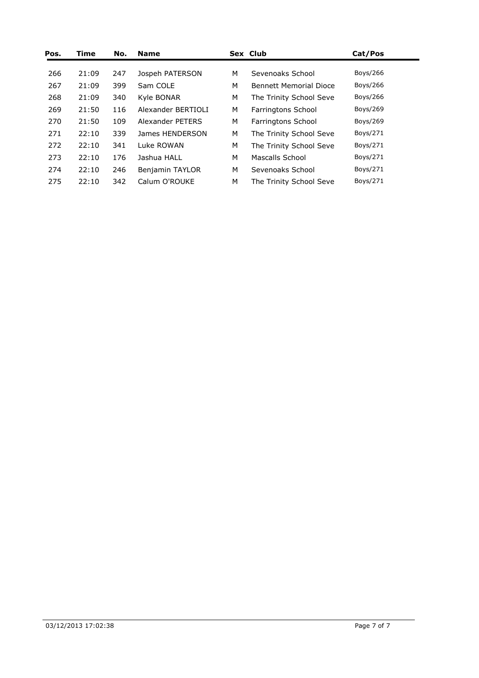| Pos. | Time  | No. | <b>Name</b>            |   | Sex Club                      | Cat/Pos  |  |
|------|-------|-----|------------------------|---|-------------------------------|----------|--|
| 266  | 21:09 | 247 | Jospeh PATERSON        | м | Sevenoaks School              | Boys/266 |  |
| 267  | 21:09 | 399 | Sam COLE               | М | <b>Bennett Memorial Dioce</b> | Boys/266 |  |
| 268  | 21:09 | 340 | Kyle BONAR             | M | The Trinity School Seve       | Boys/266 |  |
| 269  | 21:50 | 116 | Alexander BERTIOLI     | M | Farringtons School            | Boys/269 |  |
| 270  | 21:50 | 109 | Alexander PETERS       | М | Farringtons School            | Boys/269 |  |
| 271  | 22:10 | 339 | James HENDERSON        | М | The Trinity School Seve       | Boys/271 |  |
| 272  | 22:10 | 341 | Luke ROWAN             | М | The Trinity School Seve       | Boys/271 |  |
| 273  | 22:10 | 176 | Jashua HALL            | М | Mascalls School               | Boys/271 |  |
| 274  | 22:10 | 246 | <b>Benjamin TAYLOR</b> | М | Sevenoaks School              | Boys/271 |  |
| 275  | 22:10 | 342 | Calum O'ROUKE          | М | The Trinity School Seve       | Boys/271 |  |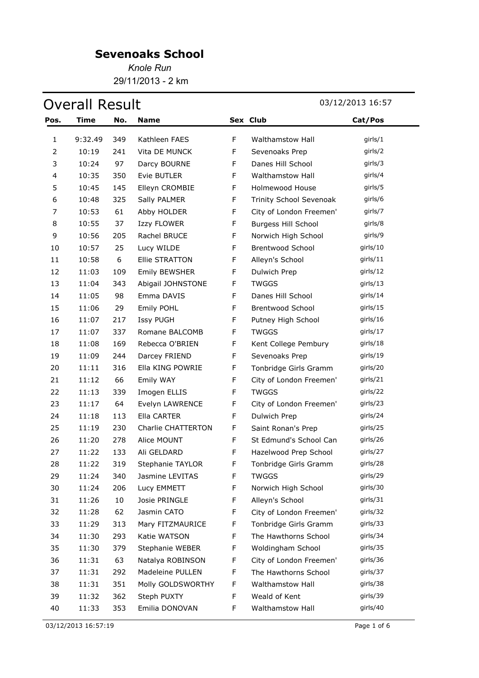*Knole Run* 29/11/2013 - 2 km

|      | <b>Overall Result</b> |     |                       |             |                            | 03/12/2013 16:57 |
|------|-----------------------|-----|-----------------------|-------------|----------------------------|------------------|
| Pos. | <b>Time</b>           | No. | <b>Name</b>           |             | Sex Club                   | Cat/Pos          |
| 1    | 9:32.49               | 349 | Kathleen FAES         | $\mathsf F$ | Walthamstow Hall           | girls/1          |
| 2    | 10:19                 | 241 | Vita DE MUNCK         | F           | Sevenoaks Prep             | girls/2          |
| 3    | 10:24                 | 97  | Darcy BOURNE          | F           | Danes Hill School          | girls/3          |
| 4    | 10:35                 | 350 | Evie BUTLER           | F           | Walthamstow Hall           | girls/4          |
| 5    | 10:45                 | 145 | Elleyn CROMBIE        | $\mathsf F$ | <b>Holmewood House</b>     | girls/5          |
| 6    | 10:48                 | 325 | Sally PALMER          | $\mathsf F$ | Trinity School Sevenoak    | girls/6          |
| 7    | 10:53                 | 61  | Abby HOLDER           | F           | City of London Freemen'    | girls/7          |
| 8    | 10:55                 | 37  | Izzy FLOWER           | $\mathsf F$ | <b>Burgess Hill School</b> | girls/8          |
| 9    | 10:56                 | 205 | Rachel BRUCE          | F           | Norwich High School        | girls/9          |
| 10   | 10:57                 | 25  | Lucy WILDE            | F           | <b>Brentwood School</b>    | girls/10         |
| 11   | 10:58                 | 6   | <b>Ellie STRATTON</b> | F           | Alleyn's School            | girls/11         |
| 12   | 11:03                 | 109 | <b>Emily BEWSHER</b>  | F           | Dulwich Prep               | girls/12         |
| 13   | 11:04                 | 343 | Abigail JOHNSTONE     | F           | <b>TWGGS</b>               | girls/13         |
| 14   | 11:05                 | 98  | Emma DAVIS            | F           | Danes Hill School          | girls/14         |
| 15   | 11:06                 | 29  | Emily POHL            | F           | <b>Brentwood School</b>    | girls/15         |
| 16   | 11:07                 | 217 | Issy PUGH             | F           | Putney High School         | girls/16         |
| 17   | 11:07                 | 337 | Romane BALCOMB        | F           | <b>TWGGS</b>               | girls/17         |
| 18   | 11:08                 | 169 | Rebecca O'BRIEN       | F           | Kent College Pembury       | girls/18         |
| 19   | 11:09                 | 244 | Darcey FRIEND         | F           | Sevenoaks Prep             | girls/19         |
| 20   | 11:11                 | 316 | Ella KING POWRIE      | F           | Tonbridge Girls Gramm      | girls/20         |
| 21   | 11:12                 | 66  | Emily WAY             | F           | City of London Freemen'    | girls/21         |
| 22   | 11:13                 | 339 | Imogen ELLIS          | F           | <b>TWGGS</b>               | girls/22         |
| 23   | 11:17                 | 64  | Evelyn LAWRENCE       | F           | City of London Freemen'    | girls/23         |
| 24   | 11:18                 | 113 | Ella CARTER           | F           | Dulwich Prep               | girls/24         |
| 25   | 11:19                 | 230 | Charlie CHATTERTON    | F           | Saint Ronan's Prep         | girls/25         |
| 26   | 11:20                 | 278 | Alice MOUNT           | $\mathsf F$ | St Edmund's School Can     | girls/26         |
| 27   | 11:22                 | 133 | Ali GELDARD           | F           | Hazelwood Prep School      | girls/27         |
| 28   | 11:22                 | 319 | Stephanie TAYLOR      | F           | Tonbridge Girls Gramm      | girls/28         |
| 29   | 11:24                 | 340 | Jasmine LEVITAS       | F           | <b>TWGGS</b>               | girls/29         |
| 30   | 11:24                 | 206 | Lucy EMMETT           | F           | Norwich High School        | girls/30         |
| 31   | 11:26                 | 10  | Josie PRINGLE         | F           | Alleyn's School            | girls/31         |
| 32   | 11:28                 | 62  | Jasmin CATO           | F           | City of London Freemen'    | girls/32         |
| 33   | 11:29                 | 313 | Mary FITZMAURICE      | F           | Tonbridge Girls Gramm      | girls/33         |
| 34   | 11:30                 | 293 | Katie WATSON          | F           | The Hawthorns School       | girls/34         |
| 35   | 11:30                 | 379 | Stephanie WEBER       | F           | Woldingham School          | girls/35         |
| 36   | 11:31                 | 63  | Natalya ROBINSON      | F           | City of London Freemen'    | girls/36         |
| 37   | 11:31                 | 292 | Madeleine PULLEN      | F           | The Hawthorns School       | girls/37         |
| 38   | 11:31                 | 351 | Molly GOLDSWORTHY     | F           | Walthamstow Hall           | girls/38         |
| 39   | 11:32                 | 362 | Steph PUXTY           | F           | Weald of Kent              | girls/39         |
| 40   | 11:33                 | 353 | Emilia DONOVAN        | F           | Walthamstow Hall           | girls/40         |

03/12/2013 16:57:19 Page 1 of 6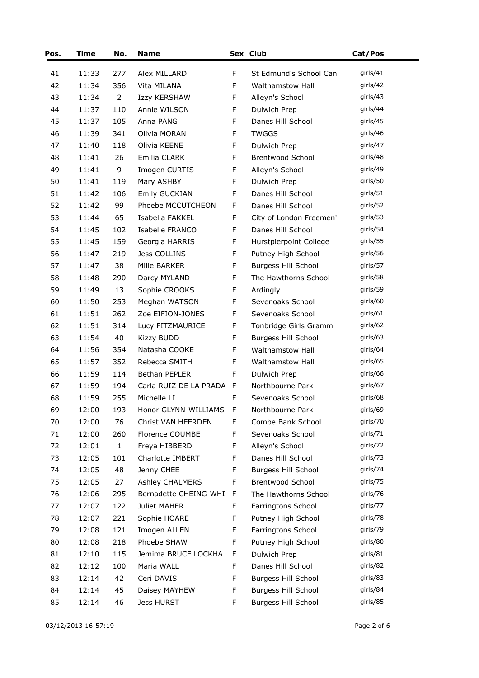| Pos. | <b>Time</b> | No.            | <b>Name</b>            |             | Sex Club                   | Cat/Pos  |
|------|-------------|----------------|------------------------|-------------|----------------------------|----------|
| 41   | 11:33       | 277            | Alex MILLARD           | F           | St Edmund's School Can     | girls/41 |
| 42   | 11:34       | 356            | Vita MILANA            | F           | Walthamstow Hall           | girls/42 |
| 43   | 11:34       | $\overline{2}$ | Izzy KERSHAW           | F           | Alleyn's School            | girls/43 |
| 44   | 11:37       | 110            | Annie WILSON           | F           | Dulwich Prep               | girls/44 |
| 45   | 11:37       | 105            | Anna PANG              | F           | Danes Hill School          | girls/45 |
| 46   | 11:39       | 341            | Olivia MORAN           | F           | <b>TWGGS</b>               | girls/46 |
| 47   | 11:40       | 118            | Olivia KEENE           | F           | Dulwich Prep               | girls/47 |
| 48   | 11:41       | 26             | Emilia CLARK           | $\mathsf F$ | <b>Brentwood School</b>    | girls/48 |
| 49   | 11:41       | 9              | Imogen CURTIS          | F           | Alleyn's School            | girls/49 |
| 50   | 11:41       | 119            | Mary ASHBY             | F           | Dulwich Prep               | girls/50 |
| 51   | 11:42       | 106            | Emily GUCKIAN          | F           | Danes Hill School          | girls/51 |
| 52   | 11:42       | 99             | Phoebe MCCUTCHEON      | F           | Danes Hill School          | girls/52 |
| 53   | 11:44       | 65             | Isabella FAKKEL        | F           | City of London Freemen'    | girls/53 |
| 54   | 11:45       | 102            | Isabelle FRANCO        | F           | Danes Hill School          | girls/54 |
| 55   | 11:45       | 159            | Georgia HARRIS         | $\mathsf F$ | Hurstpierpoint College     | girls/55 |
| 56   | 11:47       | 219            | Jess COLLINS           | F           | Putney High School         | girls/56 |
| 57   | 11:47       | 38             | Mille BARKER           | F           | <b>Burgess Hill School</b> | girls/57 |
| 58   | 11:48       | 290            | Darcy MYLAND           | F           | The Hawthorns School       | girls/58 |
| 59   | 11:49       | 13             | Sophie CROOKS          | $\mathsf F$ | Ardingly                   | girls/59 |
| 60   | 11:50       | 253            | Meghan WATSON          | F           | Sevenoaks School           | girls/60 |
| 61   | 11:51       | 262            | Zoe EIFION-JONES       | $\mathsf F$ | Sevenoaks School           | girls/61 |
| 62   | 11:51       | 314            | Lucy FITZMAURICE       | F           | Tonbridge Girls Gramm      | girls/62 |
| 63   | 11:54       | 40             | <b>Kizzy BUDD</b>      | $\mathsf F$ | <b>Burgess Hill School</b> | girls/63 |
| 64   | 11:56       | 354            | Natasha COOKE          | F           | Walthamstow Hall           | girls/64 |
| 65   | 11:57       | 352            | Rebecca SMITH          | F           | <b>Walthamstow Hall</b>    | girls/65 |
| 66   | 11:59       | 114            | Bethan PEPLER          | F           | Dulwich Prep               | girls/66 |
| 67   | 11:59       | 194            | Carla RUIZ DE LA PRADA | - F         | Northbourne Park           | girls/67 |
| 68   | 11:59       | 255            | Michelle LI            | F           | Sevenoaks School           | girls/68 |
| 69   | 12:00       | 193            | Honor GLYNN-WILLIAMS   | $\mathsf F$ | Northbourne Park           | girls/69 |
| 70   | 12:00       | 76             | Christ VAN HEERDEN     | F           | Combe Bank School          | girls/70 |
| 71   | 12:00       | 260            | Florence COUMBE        | $\mathsf F$ | Sevenoaks School           | girls/71 |
| 72   | 12:01       | $\mathbf{1}$   | Freya HIBBERD          | F           | Alleyn's School            | girls/72 |
| 73   | 12:05       | 101            | Charlotte IMBERT       | F           | Danes Hill School          | girls/73 |
| 74   | 12:05       | 48             | Jenny CHEE             | F           | <b>Burgess Hill School</b> | girls/74 |
| 75   | 12:05       | 27             | <b>Ashley CHALMERS</b> | F           | Brentwood School           | girls/75 |
| 76   | 12:06       | 295            | Bernadette CHEING-WHI  | F           | The Hawthorns School       | girls/76 |
| 77   | 12:07       | 122            | Juliet MAHER           | $\mathsf F$ | Farringtons School         | girls/77 |
| 78   | 12:07       | 221            | Sophie HOARE           | F           | Putney High School         | girls/78 |
| 79   | 12:08       | 121            | Imogen ALLEN           | F           | Farringtons School         | girls/79 |
| 80   | 12:08       | 218            | Phoebe SHAW            | F           | Putney High School         | girls/80 |
| 81   | 12:10       | 115            | Jemima BRUCE LOCKHA    | F           | Dulwich Prep               | girls/81 |
| 82   | 12:12       | 100            | Maria WALL             | F           | Danes Hill School          | girls/82 |
| 83   | 12:14       | 42             | Ceri DAVIS             | F           | <b>Burgess Hill School</b> | girls/83 |
| 84   | 12:14       | 45             | Daisey MAYHEW          | F           | <b>Burgess Hill School</b> | girls/84 |
| 85   | 12:14       | 46             | Jess HURST             | F           | <b>Burgess Hill School</b> | girls/85 |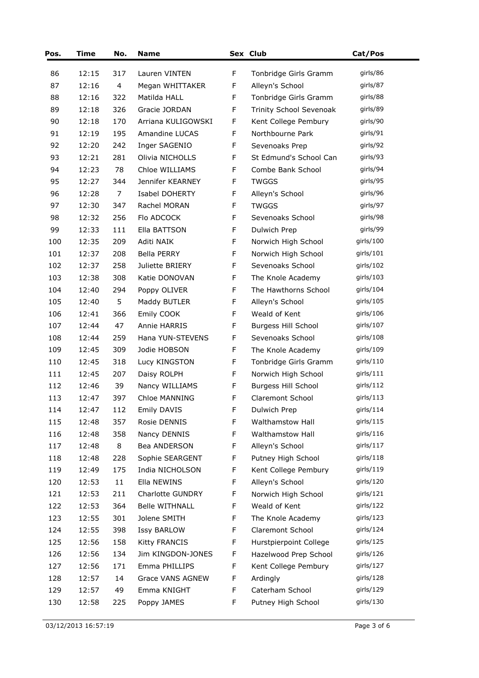| Pos. | Time  | No. | <b>Name</b>             |             | Sex Club                   | Cat/Pos      |
|------|-------|-----|-------------------------|-------------|----------------------------|--------------|
| 86   | 12:15 | 317 | Lauren VINTEN           | F           | Tonbridge Girls Gramm      | girls/86     |
| 87   | 12:16 | 4   | Megan WHITTAKER         | F           | Alleyn's School            | girls/87     |
| 88   | 12:16 | 322 | Matilda HALL            | F           | Tonbridge Girls Gramm      | girls/88     |
| 89   | 12:18 | 326 | Gracie JORDAN           | F           | Trinity School Sevenoak    | girls/89     |
| 90   | 12:18 | 170 | Arriana KULIGOWSKI      | F           | Kent College Pembury       | girls/90     |
| 91   | 12:19 | 195 | Amandine LUCAS          | F           | Northbourne Park           | girls/91     |
| 92   | 12:20 | 242 | Inger SAGENIO           | F           | Sevenoaks Prep             | girls/92     |
| 93   | 12:21 | 281 | Olivia NICHOLLS         | F           | St Edmund's School Can     | girls/93     |
| 94   | 12:23 | 78  | Chloe WILLIAMS          | F           | Combe Bank School          | girls/94     |
| 95   | 12:27 | 344 | Jennifer KEARNEY        | F           | <b>TWGGS</b>               | girls/95     |
| 96   | 12:28 | 7   | Isabel DOHERTY          | F           | Alleyn's School            | girls/96     |
| 97   | 12:30 | 347 | Rachel MORAN            | F           | <b>TWGGS</b>               | girls/97     |
| 98   | 12:32 | 256 | Flo ADCOCK              | F           | Sevenoaks School           | girls/98     |
| 99   | 12:33 | 111 | Ella BATTSON            | F           | Dulwich Prep               | girls/99     |
| 100  | 12:35 | 209 | Aditi NAIK              | F           | Norwich High School        | girls/100    |
| 101  | 12:37 | 208 | <b>Bella PERRY</b>      | F           | Norwich High School        | girls/ $101$ |
| 102  | 12:37 | 258 | Juliette BRIERY         | F           | Sevenoaks School           | girls/102    |
| 103  | 12:38 | 308 | Katie DONOVAN           | F           | The Knole Academy          | girls/103    |
| 104  | 12:40 | 294 | Poppy OLIVER            | F           | The Hawthorns School       | girls/104    |
| 105  | 12:40 | 5   | Maddy BUTLER            | F           | Alleyn's School            | girls/ $105$ |
| 106  | 12:41 | 366 | Emily COOK              | F           | Weald of Kent              | girls/106    |
| 107  | 12:44 | 47  | Annie HARRIS            | F           | <b>Burgess Hill School</b> | girls/107    |
| 108  | 12:44 | 259 | Hana YUN-STEVENS        | F           | Sevenoaks School           | girls/108    |
| 109  | 12:45 | 309 | Jodie HOBSON            | F           | The Knole Academy          | girls/109    |
| 110  | 12:45 | 318 | Lucy KINGSTON           | F           | Tonbridge Girls Gramm      | girls/ $110$ |
| 111  | 12:45 | 207 | Daisy ROLPH             | F           | Norwich High School        | girls/111    |
| 112  | 12:46 | 39  | Nancy WILLIAMS          | $\mathsf F$ | <b>Burgess Hill School</b> | girls/112    |
| 113  | 12:47 | 397 | Chloe MANNING           | F           | Claremont School           | girls/113    |
| 114  | 12:47 | 112 | Emily DAVIS             | F           | Dulwich Prep               | girls/114    |
| 115  | 12:48 | 357 | Rosie DENNIS            | F           | Walthamstow Hall           | qirls/115    |
| 116  | 12:48 | 358 | Nancy DENNIS            | F           | Walthamstow Hall           | girls/116    |
| 117  | 12:48 | 8   | Bea ANDERSON            | F           | Alleyn's School            | girls/117    |
| 118  | 12:48 | 228 | Sophie SEARGENT         | F           | Putney High School         | girls/118    |
| 119  | 12:49 | 175 | India NICHOLSON         | F           | Kent College Pembury       | girls/ $119$ |
| 120  | 12:53 | 11  | Ella NEWINS             | F           | Alleyn's School            | girls/120    |
| 121  | 12:53 | 211 | Charlotte GUNDRY        | F           | Norwich High School        | girls/121    |
| 122  | 12:53 | 364 | <b>Belle WITHNALL</b>   | F           | Weald of Kent              | girls/122    |
| 123  | 12:55 | 301 | Jolene SMITH            | F           | The Knole Academy          | girls/123    |
| 124  | 12:55 | 398 | <b>Issy BARLOW</b>      | F           | Claremont School           | girls/ $124$ |
| 125  | 12:56 | 158 | <b>Kitty FRANCIS</b>    | F           | Hurstpierpoint College     | girls/125    |
| 126  | 12:56 | 134 | Jim KINGDON-JONES       | F           | Hazelwood Prep School      | girls/126    |
| 127  | 12:56 | 171 | Emma PHILLIPS           | F           | Kent College Pembury       | girls/127    |
| 128  | 12:57 | 14  | <b>Grace VANS AGNEW</b> | F           | Ardingly                   | girls/128    |
| 129  | 12:57 | 49  | Emma KNIGHT             | F           | Caterham School            | girls/129    |
| 130  | 12:58 | 225 | Poppy JAMES             | F           | Putney High School         | girls/130    |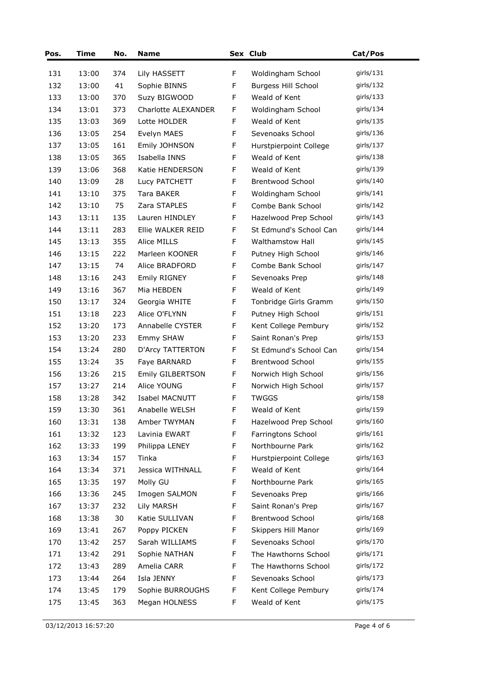| Pos. | Time  | No. | <b>Name</b>             |             | Sex Club                   | Cat/Pos      |
|------|-------|-----|-------------------------|-------------|----------------------------|--------------|
| 131  | 13:00 | 374 | Lily HASSETT            | F           | Woldingham School          | girls/131    |
| 132  | 13:00 | 41  | Sophie BINNS            | F           | <b>Burgess Hill School</b> | girls/132    |
| 133  | 13:00 | 370 | Suzy BIGWOOD            | $\mathsf F$ | Weald of Kent              | qirls/133    |
| 134  | 13:01 | 373 | Charlotte ALEXANDER     | F           | Woldingham School          | girls/ $134$ |
| 135  | 13:03 | 369 | Lotte HOLDER            | F           | Weald of Kent              | girls/ $135$ |
| 136  | 13:05 | 254 | Evelyn MAES             | F           | Sevenoaks School           | girls/136    |
| 137  | 13:05 | 161 | Emily JOHNSON           | F           | Hurstpierpoint College     | girls/137    |
| 138  | 13:05 | 365 | Isabella INNS           | $\mathsf F$ | Weald of Kent              | girls/ $138$ |
| 139  | 13:06 | 368 | Katie HENDERSON         | F           | Weald of Kent              | girls/139    |
| 140  | 13:09 | 28  | Lucy PATCHETT           | F           | <b>Brentwood School</b>    | girls/ $140$ |
| 141  | 13:10 | 375 | Tara BAKER              | $\mathsf F$ | Woldingham School          | girls/ $141$ |
| 142  | 13:10 | 75  | Zara STAPLES            | F           | Combe Bank School          | girls/142    |
| 143  | 13:11 | 135 | Lauren HINDLEY          | F           | Hazelwood Prep School      | girls/143    |
| 144  | 13:11 | 283 | Ellie WALKER REID       | $\mathsf F$ | St Edmund's School Can     | girls/144    |
| 145  | 13:13 | 355 | Alice MILLS             | F           | <b>Walthamstow Hall</b>    | girls/ $145$ |
| 146  | 13:15 | 222 | Marleen KOONER          | F           | Putney High School         | qirls/146    |
| 147  | 13:15 | 74  | Alice BRADFORD          | $\mathsf F$ | Combe Bank School          | girls/147    |
| 148  | 13:16 | 243 | Emily RIGNEY            | F           | Sevenoaks Prep             | girls/148    |
| 149  | 13:16 | 367 | Mia HEBDEN              | F           | Weald of Kent              | girls/149    |
| 150  | 13:17 | 324 | Georgia WHITE           | $\mathsf F$ | Tonbridge Girls Gramm      | girls/150    |
| 151  | 13:18 | 223 | Alice O'FLYNN           | $\mathsf F$ | Putney High School         | girls/ $151$ |
| 152  | 13:20 | 173 | Annabelle CYSTER        | F           | Kent College Pembury       | girls/152    |
| 153  | 13:20 | 233 | Emmy SHAW               | $\mathsf F$ | Saint Ronan's Prep         | girls/153    |
| 154  | 13:24 | 280 | <b>D'Arcy TATTERTON</b> | $\mathsf F$ | St Edmund's School Can     | girls/ $154$ |
| 155  | 13:24 | 35  | Faye BARNARD            | $\mathsf F$ | Brentwood School           | girls/ $155$ |
| 156  | 13:26 | 215 | Emily GILBERTSON        | $\mathsf F$ | Norwich High School        | girls/156    |
| 157  | 13:27 | 214 | Alice YOUNG             | F           | Norwich High School        | girls/ $157$ |
| 158  | 13:28 | 342 | Isabel MACNUTT          | $\mathsf F$ | <b>TWGGS</b>               | girls/ $158$ |
| 159  | 13:30 | 361 | Anabelle WELSH          | $\mathsf F$ | Weald of Kent              | girls/159    |
| 160  | 13:31 | 138 | Amber TWYMAN            | F           | Hazelwood Prep School      | girls/ $160$ |
| 161  | 13:32 | 123 | Lavinia EWART           | $\mathsf F$ | Farringtons School         | girls/161    |
| 162  | 13:33 | 199 | Philippa LENEY          | F           | Northbourne Park           | girls/162    |
| 163  | 13:34 | 157 | Tinka                   | F           | Hurstpierpoint College     | girls/163    |
| 164  | 13:34 | 371 | Jessica WITHNALL        | F           | Weald of Kent              | girls/164    |
| 165  | 13:35 | 197 | Molly GU                | $\mathsf F$ | Northbourne Park           | girls/165    |
| 166  | 13:36 | 245 | Imogen SALMON           | F           | Sevenoaks Prep             | girls/166    |
| 167  | 13:37 | 232 | Lily MARSH              | F           | Saint Ronan's Prep         | girls/167    |
| 168  | 13:38 | 30  | Katie SULLIVAN          | F           | Brentwood School           | girls/168    |
| 169  | 13:41 | 267 | Poppy PICKEN            | F           | Skippers Hill Manor        | girls/169    |
| 170  | 13:42 | 257 | Sarah WILLIAMS          | F           | Sevenoaks School           | girls/170    |
| 171  | 13:42 | 291 | Sophie NATHAN           | F           | The Hawthorns School       | girls/171    |
| 172  | 13:43 | 289 | Amelia CARR             | F           | The Hawthorns School       | girls/172    |
| 173  | 13:44 | 264 | Isla JENNY              | F           | Sevenoaks School           | girls/173    |
| 174  | 13:45 | 179 | Sophie BURROUGHS        | F           | Kent College Pembury       | girls/174    |
| 175  | 13:45 | 363 | Megan HOLNESS           | F           | Weald of Kent              | girls/175    |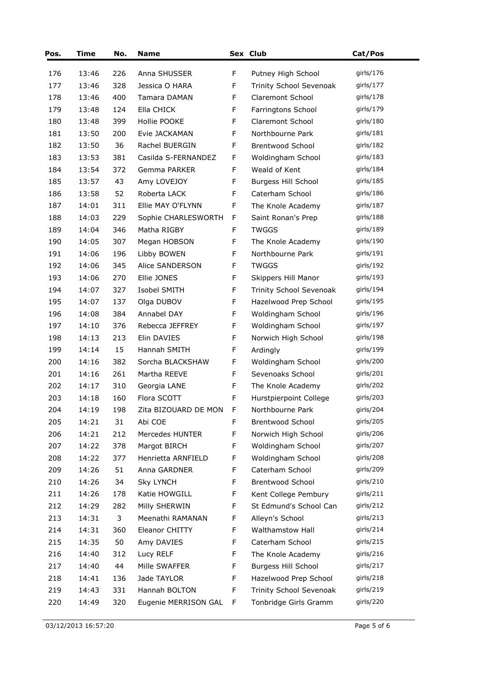| Pos. | Time  | No. | <b>Name</b>          |              | Sex Club                   | Cat/Pos      |
|------|-------|-----|----------------------|--------------|----------------------------|--------------|
| 176  | 13:46 | 226 | Anna SHUSSER         | F            | Putney High School         | girls/176    |
| 177  | 13:46 | 328 | Jessica O HARA       | $\mathsf F$  | Trinity School Sevenoak    | girls/177    |
| 178  | 13:46 | 400 | Tamara DAMAN         | $\mathsf F$  | Claremont School           | girls/178    |
| 179  | 13:48 | 124 | Ella CHICK           | $\mathsf F$  | Farringtons School         | girls/179    |
| 180  | 13:48 | 399 | Hollie POOKE         | F            | Claremont School           | girls/180    |
| 181  | 13:50 | 200 | Evie JACKAMAN        | $\mathsf F$  | Northbourne Park           | girls/181    |
| 182  | 13:50 | 36  | Rachel BUERGIN       | F            | <b>Brentwood School</b>    | girls/182    |
| 183  | 13:53 | 381 | Casilda S-FERNANDEZ  | F            | Woldingham School          | girls/183    |
| 184  | 13:54 | 372 | Gemma PARKER         | F            | Weald of Kent              | girls/184    |
| 185  | 13:57 | 43  | Amy LOVEJOY          | F            | <b>Burgess Hill School</b> | girls/185    |
| 186  | 13:58 | 52  | Roberta LACK         | F            | Caterham School            | girls/186    |
| 187  | 14:01 | 311 | Ellie MAY O'FLYNN    | F            | The Knole Academy          | girls/187    |
| 188  | 14:03 | 229 | Sophie CHARLESWORTH  | F            | Saint Ronan's Prep         | girls/ $188$ |
| 189  | 14:04 | 346 | Matha RIGBY          | F            | <b>TWGGS</b>               | girls/ $189$ |
| 190  | 14:05 | 307 | Megan HOBSON         | F            | The Knole Academy          | girls/190    |
| 191  | 14:06 | 196 | Libby BOWEN          | F            | Northbourne Park           | girls/191    |
| 192  | 14:06 | 345 | Alice SANDERSON      | F            | <b>TWGGS</b>               | girls/192    |
| 193  | 14:06 | 270 | Ellie JONES          | F            | Skippers Hill Manor        | girls/193    |
| 194  | 14:07 | 327 | Isobel SMITH         | F            | Trinity School Sevenoak    | girls/194    |
| 195  | 14:07 | 137 | Olga DUBOV           | $\mathsf F$  | Hazelwood Prep School      | girls/195    |
| 196  | 14:08 | 384 | Annabel DAY          | F            | Woldingham School          | girls/196    |
| 197  | 14:10 | 376 | Rebecca JEFFREY      | $\mathsf F$  | Woldingham School          | girls/197    |
| 198  | 14:13 | 213 | Elin DAVIES          | F            | Norwich High School        | girls/198    |
| 199  | 14:14 | 15  | Hannah SMITH         | F            | Ardingly                   | girls/199    |
| 200  | 14:16 | 382 | Sorcha BLACKSHAW     | F            | Woldingham School          | girls/200    |
| 201  | 14:16 | 261 | Martha REEVE         | F            | Sevenoaks School           | girls/201    |
| 202  | 14:17 | 310 | Georgia LANE         | $\mathsf F$  | The Knole Academy          | girls/202    |
| 203  | 14:18 | 160 | Flora SCOTT          | F            | Hurstpierpoint College     | girls/203    |
| 204  | 14:19 | 198 | Zita BIZOUARD DE MON | $\mathsf{F}$ | Northbourne Park           | girls/204    |
| 205  | 14:21 | 31  | Abi COE              | F            | Brentwood School           | girls/205    |
| 206  | 14:21 | 212 | Mercedes HUNTER      | F            | Norwich High School        | girls/206    |
| 207  | 14:22 | 378 | Margot BIRCH         | F            | Woldingham School          | girls/207    |
| 208  | 14:22 | 377 | Henrietta ARNFIELD   | F            | Woldingham School          | girls/208    |
| 209  | 14:26 | 51  | Anna GARDNER         | F            | Caterham School            | girls/209    |
| 210  | 14:26 | 34  | <b>Sky LYNCH</b>     | F            | Brentwood School           | girls/ $210$ |
| 211  | 14:26 | 178 | Katie HOWGILL        | F            | Kent College Pembury       | girls/211    |
| 212  | 14:29 | 282 | Milly SHERWIN        | F            | St Edmund's School Can     | girls/212    |
| 213  | 14:31 | 3   | Meenathi RAMANAN     | F            | Alleyn's School            | girls/213    |
| 214  | 14:31 | 360 | Eleanor CHITTY       | F            | Walthamstow Hall           | girls/ $214$ |
| 215  | 14:35 | 50  | Amy DAVIES           | F            | Caterham School            | girls/215    |
| 216  | 14:40 | 312 | Lucy RELF            | F            | The Knole Academy          | girls/ $216$ |
| 217  | 14:40 | 44  | Mille SWAFFER        | F            | <b>Burgess Hill School</b> | girls/217    |
| 218  | 14:41 | 136 | Jade TAYLOR          | $\mathsf F$  | Hazelwood Prep School      | girls/218    |
| 219  | 14:43 | 331 | Hannah BOLTON        | F            | Trinity School Sevenoak    | girls/219    |
| 220  | 14:49 | 320 | Eugenie MERRISON GAL | F            | Tonbridge Girls Gramm      | girls/220    |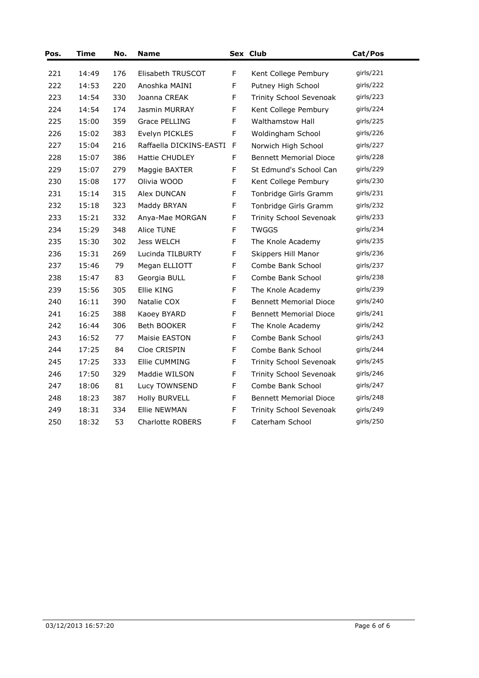| Pos. | <b>Time</b> | No. | Name                    |    | Sex Club                       | Cat/Pos   |
|------|-------------|-----|-------------------------|----|--------------------------------|-----------|
| 221  | 14:49       | 176 | Elisabeth TRUSCOT       | F  | Kent College Pembury           | girls/221 |
| 222  | 14:53       | 220 | Anoshka MAINI           | F  | Putney High School             | girls/222 |
| 223  | 14:54       | 330 | Joanna CREAK            | F  | <b>Trinity School Sevenoak</b> | girls/223 |
| 224  | 14:54       | 174 | Jasmin MURRAY           | F  | Kent College Pembury           | girls/224 |
| 225  | 15:00       | 359 | Grace PELLING           | F  | <b>Walthamstow Hall</b>        | qirls/225 |
| 226  | 15:02       | 383 | Evelyn PICKLES          | F  | Woldingham School              | girls/226 |
| 227  | 15:04       | 216 | Raffaella DICKINS-EASTI | -F | Norwich High School            | girls/227 |
| 228  | 15:07       | 386 | Hattie CHUDLEY          | F  | <b>Bennett Memorial Dioce</b>  | girls/228 |
| 229  | 15:07       | 279 | Maggie BAXTER           | F  | St Edmund's School Can         | girls/229 |
| 230  | 15:08       | 177 | Olivia WOOD             | F  | Kent College Pembury           | girls/230 |
| 231  | 15:14       | 315 | Alex DUNCAN             | F  | Tonbridge Girls Gramm          | girls/231 |
| 232  | 15:18       | 323 | Maddy BRYAN             | F  | Tonbridge Girls Gramm          | girls/232 |
| 233  | 15:21       | 332 | Anya-Mae MORGAN         | F  | Trinity School Sevenoak        | girls/233 |
| 234  | 15:29       | 348 | Alice TUNE              | F  | <b>TWGGS</b>                   | girls/234 |
| 235  | 15:30       | 302 | Jess WELCH              | F  | The Knole Academy              | girls/235 |
| 236  | 15:31       | 269 | Lucinda TILBURTY        | F  | Skippers Hill Manor            | girls/236 |
| 237  | 15:46       | 79  | Megan ELLIOTT           | F  | Combe Bank School              | girls/237 |
| 238  | 15:47       | 83  | Georgia BULL            | F  | Combe Bank School              | qirls/238 |
| 239  | 15:56       | 305 | Ellie KING              | F  | The Knole Academy              | girls/239 |
| 240  | 16:11       | 390 | Natalie COX             | F  | <b>Bennett Memorial Dioce</b>  | girls/240 |
| 241  | 16:25       | 388 | Kaoey BYARD             | F  | <b>Bennett Memorial Dioce</b>  | girls/241 |
| 242  | 16:44       | 306 | Beth BOOKER             | F  | The Knole Academy              | girls/242 |
| 243  | 16:52       | 77  | Maisie EASTON           | F  | Combe Bank School              | girls/243 |
| 244  | 17:25       | 84  | Cloe CRISPIN            | F  | Combe Bank School              | girls/244 |
| 245  | 17:25       | 333 | Ellie CUMMING           | F  | <b>Trinity School Sevenoak</b> | girls/245 |
| 246  | 17:50       | 329 | Maddie WILSON           | F  | Trinity School Sevenoak        | girls/246 |
| 247  | 18:06       | 81  | Lucy TOWNSEND           | F  | Combe Bank School              | girls/247 |
| 248  | 18:23       | 387 | <b>Holly BURVELL</b>    | F  | <b>Bennett Memorial Dioce</b>  | girls/248 |
| 249  | 18:31       | 334 | <b>Ellie NEWMAN</b>     | F  | Trinity School Sevenoak        | girls/249 |
| 250  | 18:32       | 53  | <b>Charlotte ROBERS</b> | F  | Caterham School                | girls/250 |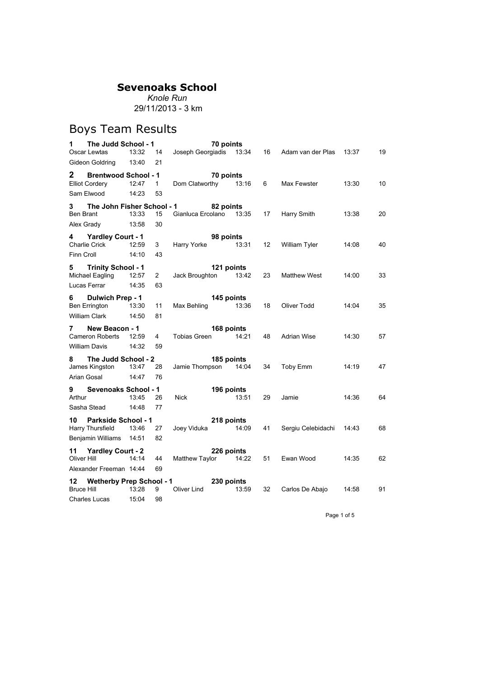*Knole Run* 29/11/2013 - 3 km

# Boys Team Results

| 1                   | The Judd School - 1                                   |       |              |                                        | 70 points           |    |                         |       |    |
|---------------------|-------------------------------------------------------|-------|--------------|----------------------------------------|---------------------|----|-------------------------|-------|----|
|                     | Oscar Lewtas                                          | 13:32 | 14           | Joseph Georgiadis 13:34 16             |                     |    | Adam van der Plas 13:37 |       | 19 |
|                     | Gideon Goldring 13:40                                 |       | 21           |                                        |                     |    |                         |       |    |
| $\mathbf{2}$        | <b>Brentwood School - 1</b>                           |       |              |                                        | 70 points           |    |                         |       |    |
|                     | Elliot Cordery                                        | 12:47 | 1            | Dom Clatworthy 13:16                   |                     | 6  | Max Fewster             | 13:30 | 10 |
|                     | Sam Elwood                                            | 14:23 | 53           |                                        |                     |    |                         |       |    |
| 3.                  | The John Fisher School - 1                            |       |              |                                        | 82 points           |    |                         |       |    |
| Ben Brant           |                                                       | 13:33 | 15           | Gianluca Ercolano 13:35 17 Harry Smith |                     |    |                         | 13:38 | 20 |
|                     | Alex Grady 13:58                                      |       | 30           |                                        |                     |    |                         |       |    |
|                     | 4 Yardley Court - 1                                   |       |              |                                        | 98 points           |    |                         |       |    |
|                     | Charlie Crick                                         | 12:59 | 3            | Harry Yorke 13:31                      |                     | 12 | William Tyler           | 14:08 | 40 |
| Finn Croll          |                                                       | 14:10 | 43           |                                        |                     |    |                         |       |    |
|                     | 5 Trinity School - 1                                  |       |              |                                        | 121 points          |    |                         |       |    |
|                     | Michael Eagling 12:57                                 |       | $\mathbf{2}$ | Jack Broughton 13:42                   |                     | 23 | Matthew West            | 14:00 | 33 |
|                     | Lucas Ferrar                                          | 14:35 | 63           |                                        |                     |    |                         |       |    |
| 6 —                 | Dulwich Prep - 1                                      |       |              |                                        | 145 points          |    |                         |       |    |
|                     | Ben Errington 13:30                                   |       | 11           | Max Behling 13:36                      |                     | 18 | Oliver Todd             | 14:04 | 35 |
|                     | <b>William Clark</b>                                  | 14:50 | 81           |                                        |                     |    |                         |       |    |
|                     |                                                       |       |              |                                        |                     |    |                         |       |    |
|                     |                                                       |       |              |                                        |                     |    |                         |       |    |
| 7                   | New Beacon - 1<br>Cameron Roberts 12:59               |       | 4            | Tobias Green                           | 168 points<br>14:21 | 48 | Adrian Wise             | 14:30 | 57 |
|                     | <b>William Davis</b>                                  | 14:32 | 59           |                                        |                     |    |                         |       |    |
|                     |                                                       |       |              |                                        |                     |    |                         |       |    |
| 8                   | The Judd School - 2<br>James Kingston 13:47           |       | 28           | Jamie Thompson 14:04                   | 185 points          | 34 | Toby Emm                | 14:19 | 47 |
|                     | Arian Gosal                                           | 14:47 | 76           |                                        |                     |    |                         |       |    |
|                     |                                                       |       |              |                                        |                     |    |                         |       |    |
| 9<br>Arthur         | <b>Sevenoaks School - 1</b>                           | 13:45 | 26           | Nick                                   | 196 points<br>13:51 | 29 | Jamie                   | 14:36 | 64 |
|                     | Sasha Stead                                           | 14:48 | 77           |                                        |                     |    |                         |       |    |
|                     |                                                       |       |              |                                        |                     |    |                         |       |    |
| 10                  | <b>Parkside School - 1</b><br><b>Harry Thursfield</b> | 13:46 | 27           |                                        | 218 points          | 41 | Sergiu Celebidachi      | 14:43 | 68 |
|                     | Benjamin Williams 14:51                               |       | 82           | Joey Viduka 14:09                      |                     |    |                         |       |    |
|                     |                                                       |       |              |                                        |                     |    |                         |       |    |
| 11 -<br>Oliver Hill | <b>Yardley Court - 2</b>                              | 14:14 | 44           | Matthew Taylor 14:22                   | 226 points          | 51 | Ewan Wood               | 14:35 | 62 |
|                     | Alexander Freeman 14:44                               |       | 69           |                                        |                     |    |                         |       |    |
|                     |                                                       |       |              | 12 Wetherby Prep School - 1 230 points |                     |    |                         |       |    |
| <b>Bruce Hill</b>   |                                                       | 13:28 | 9            | Oliver Lind                            | 13:59               | 32 | Carlos De Abajo         | 14:58 | 91 |

Page 1 of 5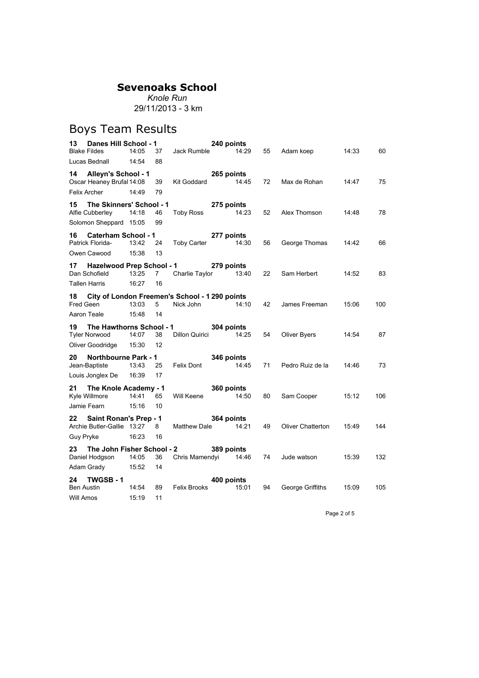*Knole Run* 29/11/2013 - 3 km

#### Boys Team Results

| Danes Hill School - 1<br>13                            |       |             |                      | 240 points |       |    |                   |       |     |
|--------------------------------------------------------|-------|-------------|----------------------|------------|-------|----|-------------------|-------|-----|
| <b>Blake Fildes</b>                                    | 14:05 | 37          | Jack Rumble          |            | 14:29 | 55 | Adam koep         | 14:33 | 60  |
| Lucas Bednall                                          | 14:54 | 88          |                      |            |       |    |                   |       |     |
| 14 Alleyn's School - 1                                 |       |             |                      | 265 points |       |    |                   |       |     |
| Oscar Heaney Brufal 14:08                              |       | 39          | Kit Goddard          |            | 14:45 | 72 | Max de Rohan      | 14:47 | 75  |
| Felix Archer                                           | 14:49 | 79          |                      |            |       |    |                   |       |     |
| The Skinners' School - 1<br>15                         |       |             |                      | 275 points |       |    |                   |       |     |
| Alfie Cubberley                                        | 14:18 | 46          | Toby Ross            |            | 14:23 | 52 | Alex Thomson      | 14:48 | 78  |
| Solomon Sheppard 15:05                                 |       | 99          |                      |            |       |    |                   |       |     |
| <b>Caterham School - 1</b><br>16                       |       |             |                      | 277 points |       |    |                   |       |     |
| Patrick Florida-                                       | 13:42 | 24          | <b>Toby Carter</b>   |            | 14:30 | 56 | George Thomas     | 14:42 | 66  |
| Owen Cawood                                            | 15:38 | 13          |                      |            |       |    |                   |       |     |
| <b>Hazelwood Prep School - 1</b><br>17                 |       |             |                      | 279 points |       |    |                   |       |     |
| Dan Schofield                                          | 13:25 | $7^{\circ}$ | Charlie Taylor 13:40 |            |       | 22 | Sam Herbert       | 14:52 | 83  |
| Tallen Harris                                          | 16:27 | 16          |                      |            |       |    |                   |       |     |
| City of London Freemen's School - 1 290 points<br>18 - |       |             |                      |            |       |    |                   |       |     |
| Fred Geen                                              | 13:03 | 5           | Nick John            |            | 14:10 | 42 | James Freeman     | 15:06 | 100 |
| Aaron Teale                                            | 15:48 | 14          |                      |            |       |    |                   |       |     |
| The Hawthorns School - 1<br>19 -                       |       |             |                      | 304 points |       |    |                   |       |     |
| <b>Tyler Norwood</b>                                   | 14:07 | 38          | Dillon Quirici       |            | 14:25 | 54 | Oliver Byers      | 14:54 | 87  |
| Oliver Goodridge                                       | 15:30 | 12          |                      |            |       |    |                   |       |     |
| Northbourne Park - 1<br>20                             |       |             |                      | 346 points |       |    |                   |       |     |
| Jean-Baptiste                                          | 13:43 | 25          | Felix Dont           |            | 14:45 | 71 | Pedro Ruiz de la  | 14:46 | 73  |
| Louis Jonglex De                                       | 16:39 | 17          |                      |            |       |    |                   |       |     |
| The Knole Academy - 1<br>21                            |       |             |                      | 360 points |       |    |                   |       |     |
| Kyle Willmore                                          | 14:41 | 65          | Will Keene           |            | 14:50 | 80 | Sam Cooper        | 15:12 | 106 |
| Jamie Fearn                                            | 15:16 | 10          |                      |            |       |    |                   |       |     |
| Saint Ronan's Prep - 1<br>22 -                         |       |             |                      | 364 points |       |    |                   |       |     |
| Archie Butler-Gallie 13:27                             |       | 8           | Matthew Dale         | 14:21      |       | 49 | Oliver Chatterton | 15:49 | 144 |
| Guy Pryke                                              | 16:23 | 16          |                      |            |       |    |                   |       |     |
| The John Fisher School - 2<br>23 —                     |       |             |                      | 389 points |       |    |                   |       |     |
|                                                        |       |             |                      |            |       |    |                   |       |     |
| Daniel Hodgson                                         | 14:05 | 36          | Chris Mamendyi 14:46 |            |       | 74 | Jude watson       | 15:39 | 132 |
| Adam Grady                                             | 15:52 | 14          |                      |            |       |    |                   |       |     |
| TWGSB-1<br>24 -                                        |       |             |                      | 400 points |       |    |                   |       |     |
| <b>Ben Austin</b>                                      | 14:54 | 89          | <b>Felix Brooks</b>  |            | 15:01 | 94 | George Griffiths  | 15:09 | 105 |

Page 2 of 5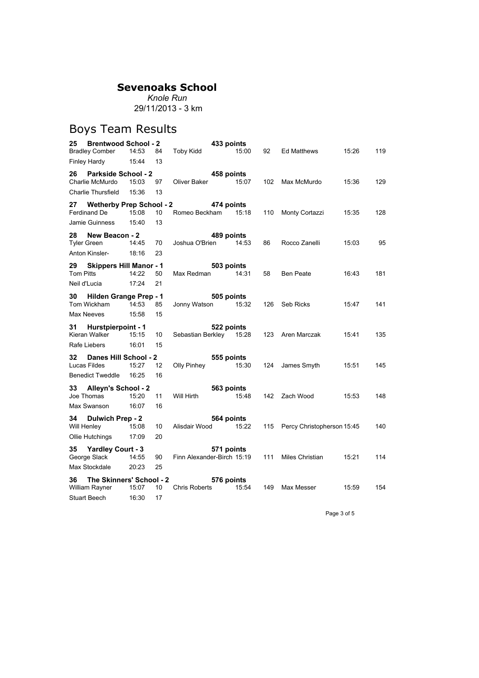*Knole Run* 29/11/2013 - 3 km

# Boys Team Results

|                  | <b>Brentwood School - 2</b>                |                |                   |                            | 433 points          |     |                            |       |     |
|------------------|--------------------------------------------|----------------|-------------------|----------------------------|---------------------|-----|----------------------------|-------|-----|
|                  | <b>Bradley Comber</b>                      | 14:53          | 84                | <b>Toby Kidd</b>           | 15:00               | 92  | Ed Matthews                | 15:26 | 119 |
|                  | <b>Finley Hardy</b>                        | 15:44          | 13                |                            |                     |     |                            |       |     |
| 26 -             | <b>Parkside School - 2</b>                 |                |                   |                            | 458 points          |     |                            |       |     |
|                  | Charlie McMurdo                            | 15:03          | 97                | Oliver Baker               | 15:07               | 102 | Max McMurdo                | 15:36 | 129 |
|                  | Charlie Thursfield                         | 15:36          | 13                |                            |                     |     |                            |       |     |
| 27 -             | <b>Wetherby Prep School - 2</b>            |                |                   |                            | 474 points          |     |                            |       |     |
|                  | Ferdinand De                               | 15:08          | 10                | Romeo Beckham              | 15:18               | 110 | Monty Cortazzi             | 15:35 | 128 |
|                  | Jamie Guinness                             | 15:40          | 13                |                            |                     |     |                            |       |     |
| 28               | New Beacon - 2                             |                |                   |                            | 489 points          |     |                            |       |     |
|                  | Tyler Green                                | 14:45          | 70                | Joshua O'Brien             | 14:53               | 86  | Rocco Zanelli              | 15:03 | 95  |
|                  | Anton Kinsler-                             | 18:16          | 23                |                            |                     |     |                            |       |     |
| 29               | <b>Skippers Hill Manor - 1</b>             |                |                   |                            | 503 points          |     |                            |       |     |
| <b>Tom Pitts</b> |                                            | 14:22          | 50                | Max Redman                 | 14:31               | 58  | <b>Ben Peate</b>           | 16:43 | 181 |
|                  | Neil d'Lucia                               | 17:24          | 21                |                            |                     |     |                            |       |     |
| 30 <sub>o</sub>  | Hilden Grange Prep - 1                     |                |                   |                            | 505 points          |     |                            |       |     |
|                  | Tom Wickham                                | 14:53          | 85                | Jonny Watson               | 15:32               | 126 | <b>Seb Ricks</b>           | 15:47 | 141 |
|                  | Max Neeves                                 | 15:58          | 15                |                            |                     |     |                            |       |     |
|                  | 31 Hurstpierpoint - 1                      |                |                   |                            | 522 points          |     |                            |       |     |
|                  | Kieran Walker                              | 15:15          | 10                | Sebastian Berkley 15:28    |                     | 123 | Aren Marczak               | 15:41 | 135 |
|                  |                                            |                |                   |                            |                     |     |                            |       |     |
|                  | Rafe Liebers                               | 16:01          | 15                |                            |                     |     |                            |       |     |
|                  |                                            |                |                   |                            |                     |     |                            |       |     |
| 32               | Danes Hill School - 2<br>Lucas Fildes      | 15:27          | $12 \overline{ }$ | Olly Pinhey                | 555 points<br>15:30 | 124 |                            | 15:51 | 145 |
|                  | <b>Benedict Tweddle</b>                    | 16:25          | 16                |                            |                     |     | James Smyth                |       |     |
|                  |                                            |                |                   |                            |                     |     |                            |       |     |
| 33               | Alleyn's School - 2<br>Joe Thomas          | 15:20          | 11                | Will Hirth                 | 563 points<br>15:48 | 142 | Zach Wood                  | 15:53 | 148 |
|                  | Max Swanson                                | 16:07          | 16                |                            |                     |     |                            |       |     |
|                  |                                            |                |                   |                            |                     |     |                            |       |     |
| 34               | Dulwich Prep - 2                           |                |                   |                            | 564 points          |     |                            |       |     |
| Will Henley      | Ollie Hutchings                            | 15:08<br>17:09 | 10<br>20          | Alisdair Wood              | 15:22               | 115 | Percy Christopherson 15:45 |       | 140 |
|                  |                                            |                |                   |                            |                     |     |                            |       |     |
| 35               | <b>Yardley Court - 3</b>                   |                |                   |                            | 571 points          |     |                            |       |     |
|                  | George Slack                               | 14:55<br>20:23 | 90<br>25          | Finn Alexander-Birch 15:19 |                     | 111 | Miles Christian            | 15:21 | 114 |
|                  | Max Stockdale                              |                |                   |                            |                     |     |                            |       |     |
| 36               | The Skinners' School - 2<br>William Rayner | 15:07          | 10                | <b>Chris Roberts</b>       | 576 points<br>15:54 | 149 | Max Messer                 | 15:59 | 154 |

Page 3 of 5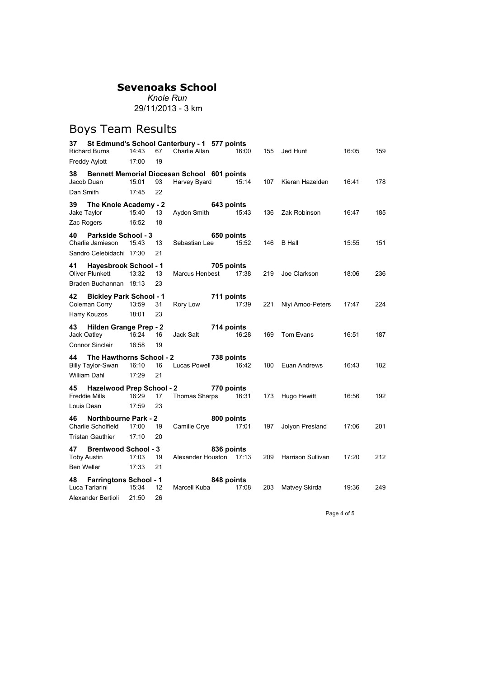*Knole Run* 29/11/2013 - 3 km

# Boys Team Results

|            | <b>Richard Burns</b>                                     | 14:43 | 67                | 37 St Edmund's School Canterbury - 1 577 points<br>Charlie Allan | 16:00               | 155 | Jed Hunt          | 16:05 | 159 |
|------------|----------------------------------------------------------|-------|-------------------|------------------------------------------------------------------|---------------------|-----|-------------------|-------|-----|
|            | <b>Freddy Aylott</b>                                     | 17:00 | 19                |                                                                  |                     |     |                   |       |     |
| 38 —       |                                                          |       |                   | Bennett Memorial Diocesan School 601 points                      |                     |     |                   |       |     |
|            | Jacob Duan                                               | 15:01 | 93                | Harvey Byard                                                     | 15:14               | 107 | Kieran Hazelden   | 16:41 | 178 |
| Dan Smith  |                                                          | 17:45 | 22                |                                                                  |                     |     |                   |       |     |
| 39         | The Knole Academy - 2                                    |       |                   |                                                                  | 643 points          |     |                   |       |     |
|            | Jake Taylor                                              | 15:40 | 13                | Aydon Smith                                                      | 15:43               | 136 | Zak Robinson      | 16:47 | 185 |
|            | Zac Rogers                                               | 16:52 | 18                |                                                                  |                     |     |                   |       |     |
| 40.        | <b>Parkside School - 3</b>                               |       |                   |                                                                  | 650 points          |     |                   |       |     |
|            | Charlie Jamieson                                         | 15:43 | 13                | Sebastian Lee                                                    | 15:52               |     | 146 B Hall        | 15:55 | 151 |
|            | Sandro Celebidachi 17:30                                 |       | 21                |                                                                  |                     |     |                   |       |     |
| 41         | <b>Hayesbrook School - 1</b><br>Oliver Plunkett          | 13:32 | 13                | Marcus Henbest 17:38                                             | 705 points          | 219 | Joe Clarkson      | 18:06 | 236 |
|            | Braden Buchannan 18:13                                   |       | 23                |                                                                  |                     |     |                   |       |     |
| 42         | <b>Bickley Park School - 1</b><br>Coleman Corry          | 13:59 | 31                | 711 points<br>Rory Low                                           | 17:39               | 221 | Niyi Amoo-Peters  | 17:47 | 224 |
|            | Harry Kouzos                                             | 18:01 | 23                |                                                                  |                     |     |                   |       |     |
|            | 43 Hilden Grange Prep - 2                                |       |                   | 714 points                                                       |                     |     |                   |       |     |
|            | Jack Oatley                                              | 16:24 | 16                | Jack Salt                                                        | 16:28               | 169 | Tom Evans         | 16:51 | 187 |
|            | <b>Connor Sinclair</b>                                   | 16:58 | 19                |                                                                  |                     |     |                   |       |     |
|            | 44 The Hawthorns School - 2<br>Billy Taylor-Swan         | 16:10 | 16                | Lucas Powell                                                     | 738 points<br>16:42 | 180 | Euan Andrews      | 16:43 | 182 |
|            | <b>William Dahl</b>                                      | 17:29 | 21                |                                                                  |                     |     |                   |       |     |
| 45         | <b>Hazelwood Prep School - 2</b><br><b>Freddie Mills</b> | 16:29 | 17                | Thomas Sharps 16:31                                              | 770 points          | 173 | Hugo Hewitt       | 16:56 | 192 |
|            | Louis Dean                                               | 17:59 | 23                |                                                                  |                     |     |                   |       |     |
| 46         | Northbourne Park - 2<br>Charlie Scholfield               | 17:00 | 19                | Camille Crye                                                     | 800 points<br>17:01 | 197 | Jolyon Presland   | 17:06 | 201 |
|            | <b>Tristan Gauthier</b>                                  | 17:10 | 20                |                                                                  |                     |     |                   |       |     |
| 47         | <b>Brentwood School - 3</b><br><b>Toby Austin</b>        | 17:03 | 19                | Alexander Houston 17:13                                          | 836 points          | 209 | Harrison Sullivan | 17:20 | 212 |
| Ben Weller |                                                          | 17:33 | 21                |                                                                  |                     |     |                   |       |     |
| 48 —       | <b>Farringtons School - 1</b><br>Luca Tarlarini          | 15:34 | $12 \overline{ }$ | Marcell Kuba                                                     | 848 points<br>17:08 | 203 | Matvey Skirda     | 19:36 | 249 |

Page 4 of 5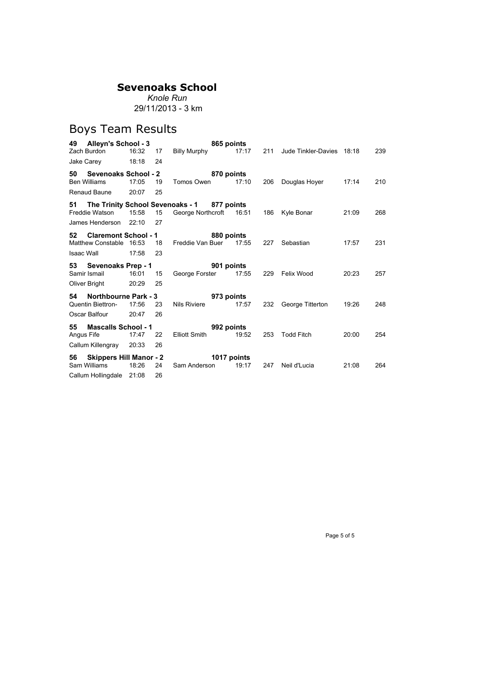*Knole Run* 29/11/2013 - 3 km

## Boys Team Results

| 49                                        | Alleyn's School - 3                                    |                |          |                                                                  | 865 points           |     |                           |       |     |
|-------------------------------------------|--------------------------------------------------------|----------------|----------|------------------------------------------------------------------|----------------------|-----|---------------------------|-------|-----|
| Zach Burdon                               |                                                        | 16:32          | 17       | <b>Billy Murphy</b>                                              | 17:17                | 211 | Jude Tinkler-Davies 18:18 |       | 239 |
| Jake Carey                                |                                                        | 18:18          | 24       |                                                                  |                      |     |                           |       |     |
| 50<br><b>Ben Williams</b><br>Renaud Baune | <b>Sevenoaks School - 2</b>                            | 17:05<br>20:07 | 19<br>25 | Tomos Owen                                                       | 870 points<br>17:10  | 206 | Douglas Hoyer             | 17:14 | 210 |
| 51<br>Freddie Watson                      | James Henderson                                        | 15:58<br>22:10 | 15<br>27 | The Trinity School Sevenoaks - 1 877 points<br>George Northcroft | 16:51                | 186 | Kyle Bonar                | 21:09 | 268 |
| 52<br><b>Isaac Wall</b>                   | <b>Claremont School - 1</b><br>Matthew Constable 16:53 | 17:58          | 18<br>23 | Freddie Van Buer                                                 | 880 points<br>17:55  | 227 | Sebastian                 | 17:57 | 231 |
| 53<br>Samir Ismail<br>Oliver Bright       | Sevenoaks Prep - 1                                     | 16:01<br>20:29 | 15<br>25 | George Forster                                                   | 901 points<br>17:55  | 229 | Felix Wood                | 20:23 | 257 |
| 54<br>Oscar Balfour                       | <b>Northbourne Park - 3</b><br>Quentin Biettron-       | 17:56<br>20:47 | 23<br>26 | <b>Nils Riviere</b>                                              | 973 points<br>17:57  | 232 | George Titterton          | 19:26 | 248 |
| 55<br>Angus Fife                          | <b>Mascalls School - 1</b><br>Callum Killengray        | 17:47<br>20:33 | 22<br>26 | <b>Elliott Smith</b>                                             | 992 points<br>19:52  | 253 | <b>Todd Fitch</b>         | 20:00 | 254 |
| 56<br>Sam Williams                        | <b>Skippers Hill Manor - 2</b><br>Callum Hollingdale   | 18:26<br>21:08 | 24<br>26 | Sam Anderson                                                     | 1017 points<br>19:17 | 247 | Neil d'Lucia              | 21:08 | 264 |

Page 5 of 5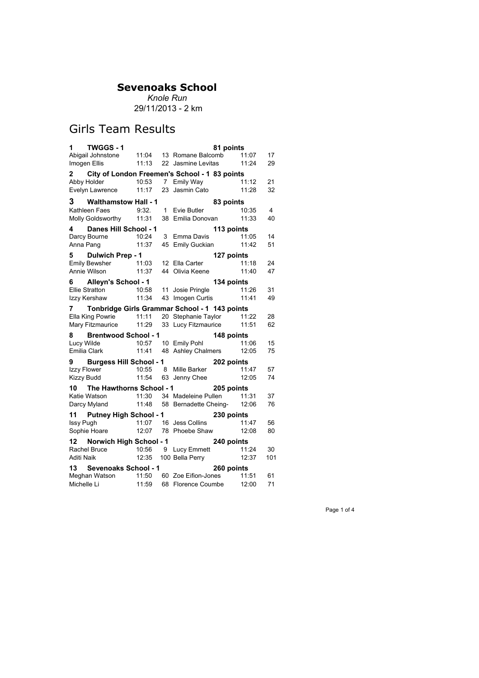*Knole Run* 29/11/2013 - 2 km

## Girls Team Results

| Abigail Johnstone 11:04 13 Romane Balcomb 11:07<br>17<br>11:13 22 Jasmine Levitas<br>11:24<br>Imogen Ellis<br>29<br>2 City of London Freemen's School - 1 83 points<br>Abby Holder 10:53 7 Emily Way<br>Evelyn Lawrence 11:17 23 Jasmin Cato<br>11:12<br>21<br>11:28<br>32<br>3 Walthamstow Hall - 1<br>83 points<br>9:32. 1 Evie Butler<br>10:35<br>Kathleen Faes<br>4<br>Molly Goldsworthy 11:31<br>38 Emilia Donovan<br>11:33<br>40<br>4 Danes Hill School - 1<br>113 points<br>Darcy Bourne 10:24 3 Emma Davis<br>11:05<br>14<br>11:37<br>45 Emily Guckian<br>11:42<br>51<br>Anna Pang<br>127 points<br>Emily Bewsher <b>First 11:03</b> 12 Ella Carter<br>Annie Wilson 11:03 12 Ella Carter<br><b>Annie Wilson 11:37 44 Olivia Keene</b><br>11:18<br>24<br>11:40<br>47<br>44 Olivia Keene<br>134 points<br>6 Alleyn's School - 1<br>Ellie Stratton 10:58 11 Josie Pringle 11:26<br>Ellie Stratton 10:58 11 Josie Pringle 11:26<br>Izzy Kershaw 11:34 43 Imogen Curtis 11:41<br>31<br>49<br>7 Tonbridge Girls Grammar School - 1 143 points<br>11:11 20 Stephanie Taylor 11:22<br>Ella King Powrie<br>28<br>Mary Fitzmaurice 11:29<br>33 Lucy Fitzmaurice<br>11:51<br>62<br>8 Brentwood School - 1<br>148 points<br>10:57 10 Emily Pohl<br>15<br>Lucy Wilde<br>11:06<br>12:05<br>Emilia Clark<br>75<br>9 Burgess Hill School - 1<br>202 points<br>10:55 8 Mille Barker<br>11:54 63 Janny Charles<br>11:47<br>Izzy Flower<br>57<br>11:54 63 Jenny Chee<br>12:05<br><b>Kizzy Budd</b><br>74<br>10 The Hawthorns School - 1<br>205 points<br>Katie Watson<br>11:30 34 Madeleine Pullen<br>11:48 58 Bernadette Cheing-<br>11:31<br>37<br>12:06<br>76<br>Darcy Myland<br>11 Putney High School - 1<br>230 points<br>11:07 16 Jess Collins<br>Issy Pugh<br>11:47<br>56<br>Sophie Hoare 12:07 78 Phoebe Shaw<br>12:08<br>80<br>12 Norwich High School - 1<br>240 points<br>Rachel Bruce 10:56 9 Lucy Emmett<br>Aditi Naik 12:35 100 Bella Perry<br>11:24<br>30<br>12:37<br>101<br>13 Sevenoaks School - 1<br>260 points<br>Meghan Watson 11:50 60 Zoe Eifion-Jones 11:51<br>61<br>68 Florence Coumbe | $1 \quad$<br>TWGGS-1 |       | 81 points |       |    |
|---------------------------------------------------------------------------------------------------------------------------------------------------------------------------------------------------------------------------------------------------------------------------------------------------------------------------------------------------------------------------------------------------------------------------------------------------------------------------------------------------------------------------------------------------------------------------------------------------------------------------------------------------------------------------------------------------------------------------------------------------------------------------------------------------------------------------------------------------------------------------------------------------------------------------------------------------------------------------------------------------------------------------------------------------------------------------------------------------------------------------------------------------------------------------------------------------------------------------------------------------------------------------------------------------------------------------------------------------------------------------------------------------------------------------------------------------------------------------------------------------------------------------------------------------------------------------------------------------------------------------------------------------------------------------------------------------------------------------------------------------------------------------------------------------------------------------------------------------------------------------------------------------------------------------------------------------------------------------------------------------------------------------------------------------------------------------------------------------|----------------------|-------|-----------|-------|----|
|                                                                                                                                                                                                                                                                                                                                                                                                                                                                                                                                                                                                                                                                                                                                                                                                                                                                                                                                                                                                                                                                                                                                                                                                                                                                                                                                                                                                                                                                                                                                                                                                                                                                                                                                                                                                                                                                                                                                                                                                                                                                                                   |                      |       |           |       |    |
|                                                                                                                                                                                                                                                                                                                                                                                                                                                                                                                                                                                                                                                                                                                                                                                                                                                                                                                                                                                                                                                                                                                                                                                                                                                                                                                                                                                                                                                                                                                                                                                                                                                                                                                                                                                                                                                                                                                                                                                                                                                                                                   |                      |       |           |       |    |
|                                                                                                                                                                                                                                                                                                                                                                                                                                                                                                                                                                                                                                                                                                                                                                                                                                                                                                                                                                                                                                                                                                                                                                                                                                                                                                                                                                                                                                                                                                                                                                                                                                                                                                                                                                                                                                                                                                                                                                                                                                                                                                   |                      |       |           |       |    |
|                                                                                                                                                                                                                                                                                                                                                                                                                                                                                                                                                                                                                                                                                                                                                                                                                                                                                                                                                                                                                                                                                                                                                                                                                                                                                                                                                                                                                                                                                                                                                                                                                                                                                                                                                                                                                                                                                                                                                                                                                                                                                                   |                      |       |           |       |    |
|                                                                                                                                                                                                                                                                                                                                                                                                                                                                                                                                                                                                                                                                                                                                                                                                                                                                                                                                                                                                                                                                                                                                                                                                                                                                                                                                                                                                                                                                                                                                                                                                                                                                                                                                                                                                                                                                                                                                                                                                                                                                                                   |                      |       |           |       |    |
|                                                                                                                                                                                                                                                                                                                                                                                                                                                                                                                                                                                                                                                                                                                                                                                                                                                                                                                                                                                                                                                                                                                                                                                                                                                                                                                                                                                                                                                                                                                                                                                                                                                                                                                                                                                                                                                                                                                                                                                                                                                                                                   |                      |       |           |       |    |
|                                                                                                                                                                                                                                                                                                                                                                                                                                                                                                                                                                                                                                                                                                                                                                                                                                                                                                                                                                                                                                                                                                                                                                                                                                                                                                                                                                                                                                                                                                                                                                                                                                                                                                                                                                                                                                                                                                                                                                                                                                                                                                   |                      |       |           |       |    |
|                                                                                                                                                                                                                                                                                                                                                                                                                                                                                                                                                                                                                                                                                                                                                                                                                                                                                                                                                                                                                                                                                                                                                                                                                                                                                                                                                                                                                                                                                                                                                                                                                                                                                                                                                                                                                                                                                                                                                                                                                                                                                                   |                      |       |           |       |    |
|                                                                                                                                                                                                                                                                                                                                                                                                                                                                                                                                                                                                                                                                                                                                                                                                                                                                                                                                                                                                                                                                                                                                                                                                                                                                                                                                                                                                                                                                                                                                                                                                                                                                                                                                                                                                                                                                                                                                                                                                                                                                                                   |                      |       |           |       |    |
|                                                                                                                                                                                                                                                                                                                                                                                                                                                                                                                                                                                                                                                                                                                                                                                                                                                                                                                                                                                                                                                                                                                                                                                                                                                                                                                                                                                                                                                                                                                                                                                                                                                                                                                                                                                                                                                                                                                                                                                                                                                                                                   |                      |       |           |       |    |
|                                                                                                                                                                                                                                                                                                                                                                                                                                                                                                                                                                                                                                                                                                                                                                                                                                                                                                                                                                                                                                                                                                                                                                                                                                                                                                                                                                                                                                                                                                                                                                                                                                                                                                                                                                                                                                                                                                                                                                                                                                                                                                   |                      |       |           |       |    |
|                                                                                                                                                                                                                                                                                                                                                                                                                                                                                                                                                                                                                                                                                                                                                                                                                                                                                                                                                                                                                                                                                                                                                                                                                                                                                                                                                                                                                                                                                                                                                                                                                                                                                                                                                                                                                                                                                                                                                                                                                                                                                                   |                      |       |           |       |    |
|                                                                                                                                                                                                                                                                                                                                                                                                                                                                                                                                                                                                                                                                                                                                                                                                                                                                                                                                                                                                                                                                                                                                                                                                                                                                                                                                                                                                                                                                                                                                                                                                                                                                                                                                                                                                                                                                                                                                                                                                                                                                                                   |                      |       |           |       |    |
|                                                                                                                                                                                                                                                                                                                                                                                                                                                                                                                                                                                                                                                                                                                                                                                                                                                                                                                                                                                                                                                                                                                                                                                                                                                                                                                                                                                                                                                                                                                                                                                                                                                                                                                                                                                                                                                                                                                                                                                                                                                                                                   |                      |       |           |       |    |
|                                                                                                                                                                                                                                                                                                                                                                                                                                                                                                                                                                                                                                                                                                                                                                                                                                                                                                                                                                                                                                                                                                                                                                                                                                                                                                                                                                                                                                                                                                                                                                                                                                                                                                                                                                                                                                                                                                                                                                                                                                                                                                   |                      |       |           |       |    |
|                                                                                                                                                                                                                                                                                                                                                                                                                                                                                                                                                                                                                                                                                                                                                                                                                                                                                                                                                                                                                                                                                                                                                                                                                                                                                                                                                                                                                                                                                                                                                                                                                                                                                                                                                                                                                                                                                                                                                                                                                                                                                                   |                      |       |           |       |    |
|                                                                                                                                                                                                                                                                                                                                                                                                                                                                                                                                                                                                                                                                                                                                                                                                                                                                                                                                                                                                                                                                                                                                                                                                                                                                                                                                                                                                                                                                                                                                                                                                                                                                                                                                                                                                                                                                                                                                                                                                                                                                                                   |                      |       |           |       |    |
|                                                                                                                                                                                                                                                                                                                                                                                                                                                                                                                                                                                                                                                                                                                                                                                                                                                                                                                                                                                                                                                                                                                                                                                                                                                                                                                                                                                                                                                                                                                                                                                                                                                                                                                                                                                                                                                                                                                                                                                                                                                                                                   |                      |       |           |       |    |
|                                                                                                                                                                                                                                                                                                                                                                                                                                                                                                                                                                                                                                                                                                                                                                                                                                                                                                                                                                                                                                                                                                                                                                                                                                                                                                                                                                                                                                                                                                                                                                                                                                                                                                                                                                                                                                                                                                                                                                                                                                                                                                   |                      |       |           |       |    |
|                                                                                                                                                                                                                                                                                                                                                                                                                                                                                                                                                                                                                                                                                                                                                                                                                                                                                                                                                                                                                                                                                                                                                                                                                                                                                                                                                                                                                                                                                                                                                                                                                                                                                                                                                                                                                                                                                                                                                                                                                                                                                                   |                      |       |           |       |    |
|                                                                                                                                                                                                                                                                                                                                                                                                                                                                                                                                                                                                                                                                                                                                                                                                                                                                                                                                                                                                                                                                                                                                                                                                                                                                                                                                                                                                                                                                                                                                                                                                                                                                                                                                                                                                                                                                                                                                                                                                                                                                                                   |                      |       |           |       |    |
|                                                                                                                                                                                                                                                                                                                                                                                                                                                                                                                                                                                                                                                                                                                                                                                                                                                                                                                                                                                                                                                                                                                                                                                                                                                                                                                                                                                                                                                                                                                                                                                                                                                                                                                                                                                                                                                                                                                                                                                                                                                                                                   |                      |       |           |       |    |
|                                                                                                                                                                                                                                                                                                                                                                                                                                                                                                                                                                                                                                                                                                                                                                                                                                                                                                                                                                                                                                                                                                                                                                                                                                                                                                                                                                                                                                                                                                                                                                                                                                                                                                                                                                                                                                                                                                                                                                                                                                                                                                   |                      |       |           |       |    |
|                                                                                                                                                                                                                                                                                                                                                                                                                                                                                                                                                                                                                                                                                                                                                                                                                                                                                                                                                                                                                                                                                                                                                                                                                                                                                                                                                                                                                                                                                                                                                                                                                                                                                                                                                                                                                                                                                                                                                                                                                                                                                                   |                      |       |           |       |    |
|                                                                                                                                                                                                                                                                                                                                                                                                                                                                                                                                                                                                                                                                                                                                                                                                                                                                                                                                                                                                                                                                                                                                                                                                                                                                                                                                                                                                                                                                                                                                                                                                                                                                                                                                                                                                                                                                                                                                                                                                                                                                                                   |                      |       |           |       |    |
|                                                                                                                                                                                                                                                                                                                                                                                                                                                                                                                                                                                                                                                                                                                                                                                                                                                                                                                                                                                                                                                                                                                                                                                                                                                                                                                                                                                                                                                                                                                                                                                                                                                                                                                                                                                                                                                                                                                                                                                                                                                                                                   |                      |       |           |       |    |
|                                                                                                                                                                                                                                                                                                                                                                                                                                                                                                                                                                                                                                                                                                                                                                                                                                                                                                                                                                                                                                                                                                                                                                                                                                                                                                                                                                                                                                                                                                                                                                                                                                                                                                                                                                                                                                                                                                                                                                                                                                                                                                   |                      |       |           |       |    |
|                                                                                                                                                                                                                                                                                                                                                                                                                                                                                                                                                                                                                                                                                                                                                                                                                                                                                                                                                                                                                                                                                                                                                                                                                                                                                                                                                                                                                                                                                                                                                                                                                                                                                                                                                                                                                                                                                                                                                                                                                                                                                                   |                      |       |           |       |    |
|                                                                                                                                                                                                                                                                                                                                                                                                                                                                                                                                                                                                                                                                                                                                                                                                                                                                                                                                                                                                                                                                                                                                                                                                                                                                                                                                                                                                                                                                                                                                                                                                                                                                                                                                                                                                                                                                                                                                                                                                                                                                                                   |                      |       |           |       |    |
|                                                                                                                                                                                                                                                                                                                                                                                                                                                                                                                                                                                                                                                                                                                                                                                                                                                                                                                                                                                                                                                                                                                                                                                                                                                                                                                                                                                                                                                                                                                                                                                                                                                                                                                                                                                                                                                                                                                                                                                                                                                                                                   |                      |       |           |       |    |
|                                                                                                                                                                                                                                                                                                                                                                                                                                                                                                                                                                                                                                                                                                                                                                                                                                                                                                                                                                                                                                                                                                                                                                                                                                                                                                                                                                                                                                                                                                                                                                                                                                                                                                                                                                                                                                                                                                                                                                                                                                                                                                   |                      |       |           |       |    |
|                                                                                                                                                                                                                                                                                                                                                                                                                                                                                                                                                                                                                                                                                                                                                                                                                                                                                                                                                                                                                                                                                                                                                                                                                                                                                                                                                                                                                                                                                                                                                                                                                                                                                                                                                                                                                                                                                                                                                                                                                                                                                                   |                      |       |           |       |    |
|                                                                                                                                                                                                                                                                                                                                                                                                                                                                                                                                                                                                                                                                                                                                                                                                                                                                                                                                                                                                                                                                                                                                                                                                                                                                                                                                                                                                                                                                                                                                                                                                                                                                                                                                                                                                                                                                                                                                                                                                                                                                                                   |                      |       |           |       |    |
|                                                                                                                                                                                                                                                                                                                                                                                                                                                                                                                                                                                                                                                                                                                                                                                                                                                                                                                                                                                                                                                                                                                                                                                                                                                                                                                                                                                                                                                                                                                                                                                                                                                                                                                                                                                                                                                                                                                                                                                                                                                                                                   |                      |       |           |       |    |
|                                                                                                                                                                                                                                                                                                                                                                                                                                                                                                                                                                                                                                                                                                                                                                                                                                                                                                                                                                                                                                                                                                                                                                                                                                                                                                                                                                                                                                                                                                                                                                                                                                                                                                                                                                                                                                                                                                                                                                                                                                                                                                   |                      |       |           |       |    |
|                                                                                                                                                                                                                                                                                                                                                                                                                                                                                                                                                                                                                                                                                                                                                                                                                                                                                                                                                                                                                                                                                                                                                                                                                                                                                                                                                                                                                                                                                                                                                                                                                                                                                                                                                                                                                                                                                                                                                                                                                                                                                                   |                      |       |           |       |    |
|                                                                                                                                                                                                                                                                                                                                                                                                                                                                                                                                                                                                                                                                                                                                                                                                                                                                                                                                                                                                                                                                                                                                                                                                                                                                                                                                                                                                                                                                                                                                                                                                                                                                                                                                                                                                                                                                                                                                                                                                                                                                                                   |                      |       |           |       |    |
|                                                                                                                                                                                                                                                                                                                                                                                                                                                                                                                                                                                                                                                                                                                                                                                                                                                                                                                                                                                                                                                                                                                                                                                                                                                                                                                                                                                                                                                                                                                                                                                                                                                                                                                                                                                                                                                                                                                                                                                                                                                                                                   |                      |       |           |       |    |
|                                                                                                                                                                                                                                                                                                                                                                                                                                                                                                                                                                                                                                                                                                                                                                                                                                                                                                                                                                                                                                                                                                                                                                                                                                                                                                                                                                                                                                                                                                                                                                                                                                                                                                                                                                                                                                                                                                                                                                                                                                                                                                   | Michelle Li          | 11:59 |           | 12:00 | 71 |

Page 1 of 4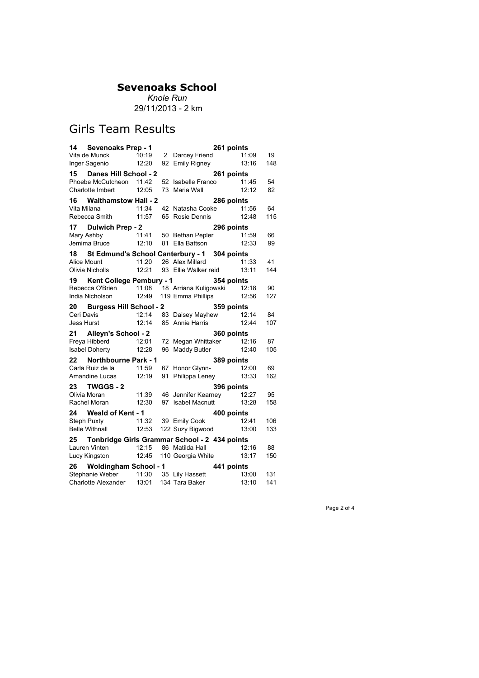*Knole Run* 29/11/2013 - 2 km

## Girls Team Results

| 14 Sevenoaks Prep - 1                                                                                                        |       |                                                            | 261 points |     |
|------------------------------------------------------------------------------------------------------------------------------|-------|------------------------------------------------------------|------------|-----|
| Vita de Munck                                                                                                                |       |                                                            |            | 19  |
| Inger Sagenio 12:20                                                                                                          |       | 10:19 2 Darcey Friend 11:09<br>12:20 92 Emily Rigney 13:16 |            | 148 |
| 15 Danes Hill School - 2                                                                                                     |       |                                                            | 261 points |     |
| Phoebe McCutcheon 11:42                                                                                                      |       | 52 Isabelle Franco 11:45                                   |            | 54  |
| Charlotte Imbert                                                                                                             | 12:05 | 73 Maria Wall                                              | 12:12      | 82  |
| 16 Walthamstow Hall - 2                                                                                                      |       |                                                            | 286 points |     |
| Vita Milana 11:34 42 Natasha Cooke 11:56<br>Rebecca Smith 11:57 65 Rosie Dennis 12:48                                        |       |                                                            |            | 64  |
|                                                                                                                              |       |                                                            |            | 115 |
|                                                                                                                              |       |                                                            |            |     |
|                                                                                                                              |       |                                                            |            | 66  |
| <b>17 Dulwich Prep - 2 296 points</b><br>Mary Ashby 11:41 50 Bethan Pepler 11:59<br>Jemima Bruce 12:10 81 Ella Battson 12:33 |       |                                                            |            | 99  |
| 18 St Edmund's School Canterbury - 1 304 points                                                                              |       |                                                            |            |     |
| Alice Mount                                                                                                                  |       | 11:20 26 Alex Millard                                      | 11:33      | 41  |
| Olivia Nicholls 12:21 93 Ellie Walker reid 13:11                                                                             |       |                                                            |            | 144 |
| 19 Kent College Pembury - 1 354 points                                                                                       |       |                                                            |            |     |
| Rebecca O'Brien 11:08 18 Arriana Kuligowski 12:18 90                                                                         |       |                                                            |            |     |
| India Nicholson                                                                                                              |       | 12:49 119 Emma Phillips 12:56                              |            | 127 |
| 20 Burgess Hill School - 2                                                                                                   |       |                                                            | 359 points |     |
|                                                                                                                              |       |                                                            |            | 84  |
|                                                                                                                              |       |                                                            |            | 107 |
| 21 Alleyn's School - 2                                                                                                       |       |                                                            | 360 points |     |
|                                                                                                                              |       |                                                            |            | 87  |
| Goo points<br>12:16 Freya Hibberd 12:01 72 Megan Whittaker 12:16<br>12:28 96 Maddy Butler 12:40                              |       |                                                            |            | 105 |
| 22 Northbourne Park - 1                                                                                                      |       |                                                            | 389 points |     |
|                                                                                                                              |       |                                                            |            | 69  |
| Carla Ruiz de la de 11:59 67 Honor Glynn- 12:00<br>Amandine Lucas 12:19 91 Philippa Leney 13:33                              |       |                                                            |            | 162 |
| 23 TWGGS - 2<br>Olivia Moran 11:39 46 Jennifer Kearney 12:27<br>Rachel Moran 12:30 97 Isabel Macnutt 13:28                   |       |                                                            |            |     |
|                                                                                                                              |       |                                                            |            | 95  |
|                                                                                                                              |       |                                                            |            | 158 |
| 24 Weald of Kent - 1                                                                                                         |       |                                                            | 400 points |     |
| Steph Puxty 11:32 39 Emily Cook                                                                                              |       |                                                            | 12:41      | 106 |
| Belle Withnall 12:53 122 Suzy Bigwood 13:00                                                                                  |       |                                                            |            | 133 |
| 25 Tonbridge Girls Grammar School - 2 434 points                                                                             |       |                                                            |            |     |
| Lauren Vinten 12:15 86 Matilda Hall                                                                                          |       |                                                            | 12:16      | 88  |
| Lucy Kingston 12:45 110 Georgia White 13:17                                                                                  |       |                                                            |            | 150 |
| 26 Woldingham School - 1                                                                                                     |       |                                                            | 441 points |     |
| Stephanie Weber 11:30 35 Lily Hassett                                                                                        |       |                                                            | 13:00      | 131 |
| Charlotte Alexander 13:01 134 Tara Baker                                                                                     |       |                                                            | 13:10      | 141 |

Page 2 of 4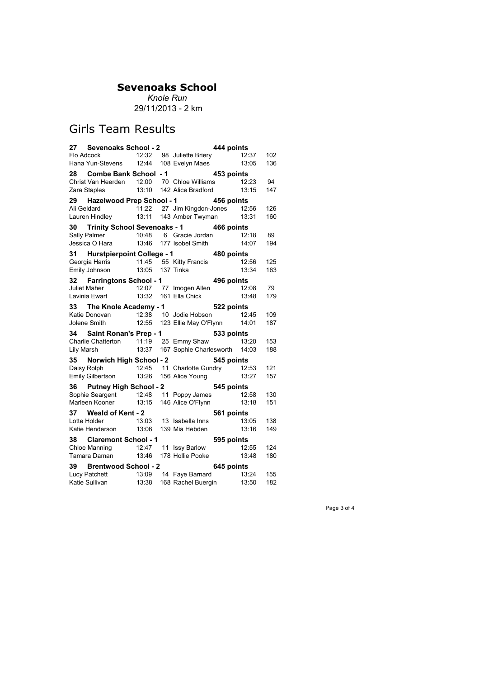*Knole Run* 29/11/2013 - 2 km

# Girls Team Results

| 27 Sevenoaks School - 2                                                                         |  |                                     | 444 points |          |      |
|-------------------------------------------------------------------------------------------------|--|-------------------------------------|------------|----------|------|
|                                                                                                 |  |                                     |            |          | 102  |
| Flo Adcock 12:32 98 Juliette Briery 12:37<br>Hana Yun-Stevens 12:44 108 Evelyn Maes 13:05       |  |                                     |            |          | 136  |
| 28 Combe Bank School - 1 453 points                                                             |  |                                     |            |          |      |
|                                                                                                 |  |                                     |            |          | - 94 |
| Christ Van Heerden 12:00 70 Chloe Williams 12:23<br>Zara Staples 13:10 142 Alice Bradford 13:15 |  |                                     |            | 13:15    | 147  |
| 29 Hazelwood Prep School - 1 456 points                                                         |  |                                     |            |          |      |
|                                                                                                 |  |                                     |            |          | 126  |
| Ali Geldard 11:22 27 Jim Kingdon-Jones 12:56<br>Lauren Hindley 13:11 143 Amber Twyman 13:31     |  |                                     |            |          | 160  |
| 30 Trinity School Sevenoaks - 1 466 points                                                      |  |                                     |            |          |      |
|                                                                                                 |  |                                     |            |          |      |
|                                                                                                 |  |                                     |            |          | 194  |
| 31 Hurstpierpoint College - 1 480 points                                                        |  |                                     |            |          |      |
| 31 <b>Hurstpierpoint Conege - .</b><br>Georgia Harris 11:45 55 Kitty Francis                    |  |                                     |            | 12:56    | 125  |
| Emily Johnson 13:05 137 Tinka                                                                   |  |                                     |            | 13:34    | 163  |
| 32 Farringtons School - 1                                                                       |  | 496 points                          |            |          |      |
| Juliet Maher 12:07 77 Imogen Allen                                                              |  |                                     |            | 12:08 79 |      |
| Lavinia Ewart 13:32 161 Ella Chick                                                              |  |                                     |            | 13:48    | 179  |
| 33 The Knole Academy - 1                                                                        |  |                                     | 522 points |          |      |
|                                                                                                 |  |                                     |            |          | 109  |
| Vatie Donovan 12:38 10 Jodie Hobson 12:45<br>Jolene Smith 12:55 123 Ellie May O'Flynn 14:01     |  |                                     |            |          | 187  |
| 34 Saint Ronan's Prep - 1                                                                       |  |                                     | 533 points |          |      |
| Charlie Chatterton 11:19 25 Emmy Shaw 13:20                                                     |  |                                     |            |          | 153  |
| Lily Marsh                                                                                      |  | 13:37 167 Sophie Charlesworth 14:03 |            |          | 188  |
| 35 Norwich High School - 2                                                                      |  |                                     | 545 points |          |      |
| Daisy Rolph                                                                                     |  | 12:45 11 Charlotte Gundry 12:53 121 |            |          |      |
| Emily Gilbertson 13:26 156 Alice Young                                                          |  |                                     |            | 13:27    | 157  |
| 36 Putney High School - 2 545 points                                                            |  |                                     |            |          |      |
| Sophie Seargent 12:48 11 Poppy James 12:58                                                      |  |                                     |            |          | 130  |
| Marleen Kooner 13:15 146 Alice O'Flynn 13:18                                                    |  |                                     |            |          | 151  |
| 37 Weald of Kent - 2                                                                            |  |                                     | 561 points |          |      |
| Lotte Holder 13:03 13 Isabella Inns 13:05<br>Katie Henderson 13:06 139 Mia Hebden 13:16         |  |                                     |            |          | 138  |
| Katie Henderson 13:06 139 Mia Hebden                                                            |  |                                     |            |          | 149  |
| 38 Claremont School - 1                                                                         |  |                                     | 595 points |          |      |
|                                                                                                 |  |                                     |            |          |      |
|                                                                                                 |  |                                     |            |          |      |
| 39 Brentwood School - 2                                                                         |  |                                     | 645 points |          |      |
|                                                                                                 |  |                                     |            |          | 155  |
| Lucy Patchett 13:09 14 Faye Barnard 13:24<br>Katie Sullivan 13:38 168 Rachel Buergin 13:50      |  |                                     |            |          | 182  |
|                                                                                                 |  |                                     |            |          |      |

Page 3 of 4